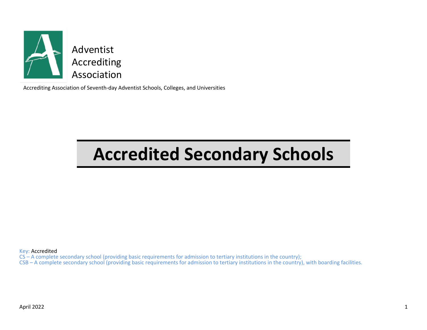

Accrediting Association of Seventh-day Adventist Schools, Colleges, and Universities

## **Accredited Secondary Schools**

Key: Accredited

CS – A complete secondary school (providing basic requirements for admission to tertiary institutions in the country);

CSB – A complete secondary school (providing basic requirements for admission to tertiary institutions in the country), with boarding facilities.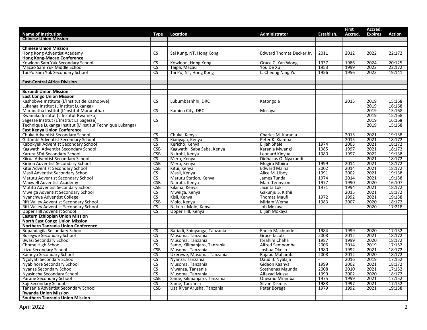|                                                           |                        |                              |                          |            | <b>First</b> | Accred.        |               |
|-----------------------------------------------------------|------------------------|------------------------------|--------------------------|------------|--------------|----------------|---------------|
| <b>Name of Institution</b>                                | Type                   | Location                     | Administrator            | Establish. | Accred.      | <b>Expires</b> | <b>Action</b> |
| <b>Chinese Union Mission</b>                              |                        |                              |                          |            |              |                |               |
| <b>Chinese Union Mission</b>                              |                        |                              |                          |            |              |                |               |
|                                                           | <b>CS</b>              |                              |                          | 2011       | 2012         | 2022           | 22:172        |
| Hong Kong Adventist Academy<br>Hong Kong-Macao Conference |                        | Sai Kung, NT, Hong Kong      | Edward Thomas Decker Jr. |            |              |                |               |
| Kowloon Sam Yuk Secondary School                          | $\overline{\text{cs}}$ | Kowloon, Hong Kong           | Grace C. Yan Wong        | 1937       | 1986         | 2024           | 20:125        |
| Macao Sam Yuk Middle School                               | <b>CS</b>              | Taipa, Macau                 | You De Xu                | 1953       | 1999         | 2022           | 22:172        |
|                                                           | $\overline{\text{cs}}$ |                              |                          | 1956       | 1956         | 2023           |               |
| Tai Po Sam Yuk Secondary School                           |                        | Tai Po, NT, Hong Kong        | L. Cheong Ning Yu        |            |              |                | 19:141        |
| <b>East-Central Africa Division</b>                       |                        |                              |                          |            |              |                |               |
|                                                           |                        |                              |                          |            |              |                |               |
| <b>Burundi Union Mission</b>                              |                        |                              |                          |            |              |                |               |
| <b>East Congo Union Mission</b>                           |                        |                              |                          |            |              |                |               |
| Kashobwe Institute (L'Institut de Kashobwe)               | CS.                    | Lubumbashhhi, DRC            | Katongola                |            | 2015         | 2019           | 15:168        |
| Lukanga Institut (L'Institut Lukanga)                     |                        |                              |                          |            |              | 2019           | 16:168        |
| Maranatha Institut (L'Institut Maranatha)                 | $\overline{\text{CS}}$ | Kamina City, DRC             | Musaya                   |            |              | 2019           | 15:168        |
| Rwamiko Institut (L'Institut Rwamiko)                     |                        |                              |                          |            |              | 2019           | 15:168        |
| Sagesse Institut (L'Institut La Sagesse)                  | $\overline{\text{CS}}$ |                              |                          |            |              | 2019           | 16:168        |
| Technique Lukanga Institut (L'Institut Technique Lukanga) |                        |                              |                          |            |              | 2019           | 15:168        |
| <b>East Kenya Union Conference</b>                        |                        |                              |                          |            |              |                |               |
| Chuka Adventist Secondary School                          | $\overline{\text{CS}}$ | Chuka, Kenya                 | Charles M. Karanja       |            | 2015         | 2021           | 19:138        |
| Gatumbi Adventist Secondary School                        | $\overline{\text{cs}}$ | Kianyaga, Kenya              | Peter K. Kiamba          |            | 2015         | 2021           | 18:172        |
| Kabokyek Adventist Secondary School                       | $\overline{\text{CS}}$ | Kericho, Kenya               | <b>Elijah Shele</b>      | 1974       | 2003         | 2021           | 18:172        |
| Kagwathi Adventist Secondary School                       | CSB                    | Kagwathi, Saba Saba, Kenya   | Karanja Mwangi           | 1985       | 1997         | 2021           | 18:172        |
| Karura SDA Secondary School                               | CSB                    | Nairobi, Kenya               | Leonard Kinyua           | 1980       | 1997         | 2022           | 19:138        |
| Kiirua Adventist Secondary School                         | $\overline{\text{cs}}$ | Meru, Kenya                  | Didhacus O. Nyakundi     |            |              | 2021           | 18:172        |
| Kiriiria Adventist Secondary School                       | <b>CSB</b>             | Meru, Kenya                  | Mugira Mbiira            | 1999       | 2014         | 2021           | 18:172        |
| Kitui Adventist Secondary School                          | CSB                    | Kitui, Kenya                 | <b>Edward Maina</b>      | 2002       | 2014         | 2021           | 18:172        |
| Masii Adventist Secondary School                          | $\overline{\text{cs}}$ | Masii, Kenya                 | Alice M. Libovi          | 1991       | 2002         | 2021           | 19:138        |
| Matutu Adventist Secondary School                         | CS                     | Matutu Station, Kenya        | James Tunda              | 1974       | 2014         | 2021           | 19:138        |
| Maxwell Adventist Academy                                 | CSB                    | Nairobi, Kenya               | Marc Tennyson            | 1977       | 1990         | 2020           | 16:107        |
| Mutitu Adventist Secondary School                         | CSB                    | Kikima, Kenya                | Jacinta Loki             | 1971       | 1994         | 2021           | 18:172        |
| Mweiga Adventist Secondary School                         | $\overline{\text{cs}}$ | Mweiga, Kenya                | Gakunju S. Kithii        |            | 2015         | 2021           | 18:172        |
| Nyanchwa Adventist College                                | $\overline{\text{CS}}$ | Kisii, Kenya                 | <b>Thomas Maufi</b>      | 1972       | 1992         | 2021           | 19:138        |
| Rift Valley Adventist Secondary School                    | <b>CSB</b>             | Molo, Kenya                  | Miriam Wema              | 1983       | 2007         | 2020           | 18:172        |
| Rift Valley Adventist Secondary School                    | <b>CS</b>              | Nakuru, Molo, Kenya          | Job Mokaya               | $\sim$     |              | 2020           | 17:218        |
| Upper Hill Adventist School                               | $\overline{\text{CS}}$ | Upper Hill, Kenya            | Elijah Mokaya            |            |              |                |               |
| <b>Eastern Ethiopian Union Mission</b>                    |                        |                              |                          |            |              |                |               |
| <b>North East Congo Union Mission</b>                     |                        |                              |                          |            |              |                |               |
| <b>Northern Tanzania Union Conference</b>                 |                        |                              |                          |            |              |                |               |
| Bupandagila Secondary School                              | $\overline{\text{CS}}$ | Bariadi, Shinyanga, Tanzania | Enoch Machunde L.        | 1984       | 1999         | 2020           | 17:152        |
| <b>Busegwe Secondary School</b>                           | $\overline{\text{CS}}$ | Musoma, Tanzania             | Grace Jacob              | 2008       | 2012         | 2021           | 18:172        |
| <b>Bwasi Secondary School</b>                             | $\overline{\text{CS}}$ | Musoma, Tanzania             | Ibrahim Chaha            | 1987       | 1999         | 2020           | 18:172        |
| Chome High School                                         | <b>CS</b>              | Same, Kilimanjaro, Tanzania  | Alfred Sempombe          | 2006       | 2014         | 2019           | 17:152        |
| <b>Ikizu Secondary School</b>                             | CSB                    | Musoma, Tanzania             | Joshua Okello            | 1980       | 1992         | 2021           | 18:172        |
| Kameya Secondary School                                   | $\overline{\text{CS}}$ | Ukerewe, Musoma, Tanzania    | Rajabu Mahamba           | 2008       | 2012         | 2020           | 18:172        |
| Ngulyati Secondary School                                 | $\overline{\text{CS}}$ | Nyanza, Tanzania             | Daudi J. Nyalaja         | $\sim$     | 2016         | 2019           | 17:152        |
| <b>Nyabihore Secondary School</b>                         | <b>CS</b>              | Musoma, Tanzania             | Gideon Kaanya            | 1999       | 2002         | 2021           | 18:172        |
| Nyanza Secondary School                                   | $\overline{\text{cs}}$ | Mwanza, Tanzania             | Sosthenas Mgunda         | 2008       | 2010         | 2021           | 17:152        |
| Nyasincha Secondary School                                | $\overline{\text{CS}}$ | Musoma, Tanzania             | <b>Alfaxad Mussa</b>     | 1999       | 2002         | 2020           | 18:172        |
| Parane Secondary School                                   | CSB                    | Same, Kilimanjaro, Tanzania  | Onesmo Mramba            | 1975       | 1999         | 2021           | 17:152        |
| Suji Secondary School                                     | <b>CS</b>              | Same, Tanzania               | Silvan Dismas            | 1988       | 1997         | 2021           | 17:152        |
| Tanzania Adventist Secondary School                       | CSB                    | Usa River Arusha, Tanzania   | Peter Borega             | 1979       | 1992         | 2021           | 19:138        |
| <b>Rwanda Union Mission</b>                               |                        |                              |                          |            |              |                |               |
| <b>Southern Tanzania Union Mission</b>                    |                        |                              |                          |            |              |                |               |
|                                                           |                        |                              |                          |            |              |                |               |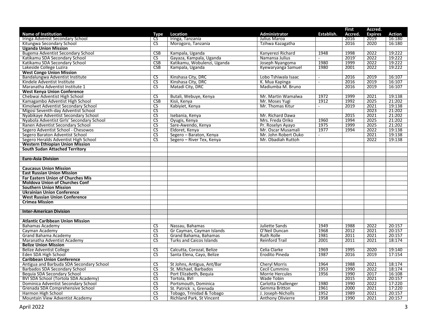|                                                                             |                        |                                     |                                             |                  | <b>First</b> | Accred.        |        |
|-----------------------------------------------------------------------------|------------------------|-------------------------------------|---------------------------------------------|------------------|--------------|----------------|--------|
| <b>Name of Institution</b>                                                  | Type                   | <b>Location</b>                     | Administrator                               | Establish.       | Accred       | <b>Expires</b> | Action |
| Iringa Advenist Secondary School                                            | CS.                    | Iringa, Tanzania                    | Julius Maroa                                |                  | 2016         | 2019           | 16:180 |
| Kitungwa Secondary School                                                   | $\overline{\text{cs}}$ | Morogoro, Tanzania                  | Tzihwa Kazagatha                            |                  | 2016         | 2020           | 16:180 |
| <b>Uganda Union Mission</b>                                                 |                        |                                     |                                             |                  |              |                |        |
| Bugema Adventist Secondary School                                           | <b>CSB</b>             | Kampala, Uganda                     | Kanyerezi Richard                           | 1948             | 1998         | 2022           | 19:222 |
| Katikamu SDA Secondary School                                               | $\overline{\text{CS}}$ | Gayaza, Kampala, Uganda             | Namansa Julius                              | $\sim$           | 2019         | 2022           | 19:222 |
| Katikamu SDA Secondary School                                               | CSB                    | Katikamu, Wobulenzi, Uganda         | Joseph Nyangoma                             | 1980             | 1999         | 2022           | 19:222 |
| Lakeside College Luzira                                                     | <b>CSB</b>             | Kampala, Uganda                     | Kyewaryanga Samuel                          | 1980             | 2001         | 2022           | 19:222 |
| <b>West Congo Union Mission</b>                                             |                        |                                     |                                             |                  |              |                |        |
| Bandalungwa Adventist Institute                                             | CS.                    | Kinshasa City, DRC                  | Lobo Tshiwala Isaac                         | $\sim$           | 2016         | 2019           | 16:107 |
| Kindele Adventist Institute                                                 | $\overline{\text{CS}}$ | Kinshasa City, DRC                  | K. Mua Kapinga                              | $\bar{a}$        | 2016         | 2019           | 16:107 |
| Maranatha Adventist Institute 1                                             | <b>CS</b>              | Matadi City, DRC                    | Madiumba M. Bruno                           |                  | 2016         | 2019           | 16:107 |
| <b>West Kenya Union Conference</b>                                          |                        |                                     |                                             |                  |              |                |        |
| Chebwai Adventist High School                                               | $\overline{\text{CS}}$ | Butali, Webuye, Kenya               | Mr. Martin Wamalwa                          | 1972             | 1999         | 2021           | 19:138 |
| Kamagambo Adventist High School                                             | <b>CSB</b>             | Kisii, Kenya                        | Mr. Moses Yugi                              | 1912             | 1992         | 2025           | 21:202 |
| Kimolwet Adventist Secondary School                                         | <b>CS</b>              | Kabiyiet, Kenya                     | Mr. Thomas Kitur                            | $\omega_{\rm c}$ | 2019         | 2021           | 19:138 |
| Migosi Seventh-day Adventist School                                         | $\overline{\text{cs}}$ |                                     |                                             |                  |              | 2023           | 21:202 |
| Nyabikaye Adventist Secondary School                                        | $\overline{\text{cs}}$ | Isebania, Kenya                     | Mr. Richard Dawa                            |                  | 2015         | 2021           | 21:202 |
| Nyabola Adventist Girls' Secondary School                                   | $\overline{\text{CS}}$ | Oyugis, Kenya                       | Mrs. Freda Oriko                            | 1960             | 1994         | 2025           | 21:202 |
| Ranen Adventist Secondary School                                            | $\overline{\text{cs}}$ | Sare-Awendo, Kenya                  | Pr. Roselyn Ayayo                           | 1975             | 1999         | 2025           | 21:202 |
| Segero Adventist School - Chesowos                                          | $\overline{\text{cs}}$ | Eldoret, Kenya                      | Mr. Oscar Musamali                          | 1977             | 1994         | 2022           | 19:138 |
| Segero Baraton Adventist School                                             | $\overline{\text{CS}}$ | Segero - Baraton, Kenya             | Mr. John Robert Ouko                        | $\sim$           |              | 2021           | 19:138 |
| Segero Heralds Adventist High School                                        | $\overline{\text{CS}}$ | Segero - River Tex, Kenya           | Mr. Obadiah Ruttoh                          |                  |              | 2022           | 19:138 |
| <b>Western Ethiopian Union Mission</b>                                      |                        |                                     |                                             |                  |              |                |        |
| <b>South Sudan Attached Territory</b>                                       |                        |                                     |                                             |                  |              |                |        |
|                                                                             |                        |                                     |                                             |                  |              |                |        |
| <b>Euro-Asia Division</b>                                                   |                        |                                     |                                             |                  |              |                |        |
|                                                                             |                        |                                     |                                             |                  |              |                |        |
| <b>Caucasus Union Mission</b>                                               |                        |                                     |                                             |                  |              |                |        |
| <b>East Russian Union Mission</b>                                           |                        |                                     |                                             |                  |              |                |        |
| <b>Far Eastern Union of Churches Mis</b>                                    |                        |                                     |                                             |                  |              |                |        |
| <b>Moldova Union of Churches Conf</b>                                       |                        |                                     |                                             |                  |              |                |        |
| <b>Southern Union Mission</b>                                               |                        |                                     |                                             |                  |              |                |        |
| <b>Ukrainian Union Conference</b>                                           |                        |                                     |                                             |                  |              |                |        |
| <b>West Russian Union Conference</b>                                        |                        |                                     |                                             |                  |              |                |        |
| <b>Crimea Mission</b>                                                       |                        |                                     |                                             |                  |              |                |        |
|                                                                             |                        |                                     |                                             |                  |              |                |        |
| <b>Inter-American Division</b>                                              |                        |                                     |                                             |                  |              |                |        |
|                                                                             |                        |                                     |                                             |                  |              |                |        |
| <b>Atlantic Caribbean Union Mission</b>                                     |                        |                                     |                                             |                  |              |                |        |
| <b>Bahamas Academy</b>                                                      | <b>CS</b>              | Nassau, Bahamas                     | Juliette Sands                              | 1949             | 1988         | 2022           | 20:157 |
| Cayman Academy                                                              | $\overline{\text{CS}}$ | Gr Cayman, Cayman Islands           | O'Neil Duncan                               | 1968             | 2012         | 2021           | 20:157 |
| <b>Grand Bahama Academy</b>                                                 | $\overline{\text{CS}}$ | Grand Bahama, Bahamas               | <b>Ruth Rolle</b>                           | 1981             | 2011         | 2021           | 20:157 |
| Maranatha Adventist Academy                                                 | $\overline{\text{cs}}$ | <b>Turks and Caicos Islands</b>     | <b>Reinford Trail</b>                       | 2001             | 2011         | 2021           | 18:174 |
| <b>Belize Union Mission</b>                                                 |                        |                                     |                                             |                  |              |                |        |
| <b>Belize Adventist College</b>                                             | $\overline{\text{CS}}$ | Calcutta, Corozal, Belize           | Celia Clarke                                | 1969             | 1995         | 2020           | 19:140 |
| Eden SDA High School                                                        | $\overline{\text{cs}}$ | Santa Elena, Cayo, Belize           | <b>Erodito Pineda</b>                       | 1987             | 2016         | 2019           | 17:154 |
| <b>Caribbean Union Conference</b>                                           |                        |                                     |                                             |                  |              |                |        |
| Antigua and Barbuda SDA Secondary School                                    | <b>CS</b>              | St Johns, Antigua, Ant/Bar          | <b>Cheryl Morris</b>                        | 1964             | 1988         | 2021           | 18:174 |
| Barbados SDA Secondary School                                               | $\overline{\text{cs}}$ | St. Michael, Barbados               | <b>Cecil Cummins</b>                        | 1953             | 1990         | 2022           | 18:174 |
| <b>Bequia SDA Secondary School</b>                                          | $\overline{\text{CS}}$ | Port Elizabeth, Bequia              | <b>Morrie Hercules</b>                      | 1956             | 1990         | 2017           | 16:108 |
|                                                                             | $\overline{\text{cs}}$ | Tortola, BVI                        | Wade Tobin                                  |                  | 2015         | 2021           | 20:157 |
| BVI SDA School (Tortola SDA Academy)<br>Dominica Adventist Secondary School | <b>CS</b>              |                                     |                                             | 1980             | 1990         | 2022           | 17:220 |
|                                                                             | $\overline{\text{cs}}$ | Portsmouth, Dominica                | Carlotta Challenger<br><b>Gemma Britton</b> | 1961             | 2000         | 2021           | 17:220 |
| Grenada SDA Comprehensive School                                            |                        | St. Patrick <sup>1</sup> s, Grenada |                                             |                  |              |                |        |
| Harmon High School                                                          | $\overline{\text{CS}}$ | Tobago, Trinidad & Tobago           | J. Joseph-Nicholls                          | 1952             | 1989         | 2021           | 20:157 |
| Mountain View Adventist Academy                                             | CS.                    | Richland Park, St Vincent           | <b>Anthony Olivierre</b>                    | 1958             | 1990         | 2021           | 20:157 |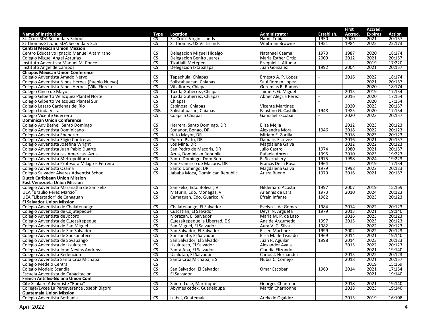|                                                                   |                                                  |                                 |                                         |                | <b>First</b> | Accred.        |                  |
|-------------------------------------------------------------------|--------------------------------------------------|---------------------------------|-----------------------------------------|----------------|--------------|----------------|------------------|
| <b>Name of Institution</b>                                        | Type                                             | Location                        | Administrator                           | Establish.     | Accred.      | <b>Expires</b> | <b>Action</b>    |
| St. Croix SDA Secondary School                                    | CS                                               | St. Croix, Virgin Islands       | <b>Hamil Tobias</b>                     | 1950           | 2000         | 2021           | 20:157           |
| St Thomas-St John SDA Secondary Sch                               | $\overline{\text{cs}}$                           | St Thomas, US Vir Islands       | <b>Whitman Browne</b>                   | 1951           | 1984         | 2025           | 22:173           |
| <b>Central Mexican Union Mission</b>                              |                                                  |                                 |                                         |                |              |                |                  |
| Centro Educativo Ignacio Manuel Altamirano                        | <b>CS</b>                                        | Delegacion Miguel Hidalgo       | Natanael Caamal                         | 1970           | 1987         | 2020           | 18:174           |
| <b>Colegio Miguel Angel Asturias</b>                              | $\overline{\text{CS}}$                           | Delegacion Benito Juarez        | Maria Esther Ortiz                      | 2009           | 2012         | 2021           | 20:157           |
| Instituto Adventista Manuel M. Ponce                              | $\overline{\text{CS}}$                           | Tizatlalli Metepec              | Ezequiel L. Altunar                     |                |              | 2019           | 17:220           |
| Instituto Angel de Campos                                         | <b>CS</b>                                        | Delegacion Ixtapalapa           | Juan Gonzalez                           | 1992           | 2004         | 2021           | 20:157           |
| <b>Chiapas Mexican Union Conference</b>                           |                                                  |                                 |                                         |                |              |                |                  |
| Colegio Adventista Amado Nervo                                    | <b>CS</b>                                        | Tapachula, Chiapas              | Ernesto A. P. Lopez                     | $\sim$         | 2016         | 2022           | 18:174           |
| Colegio Adventista Ninos Heroes (Pueblo Nuevo)                    | $\overline{\text{CS}}$                           | Solistahuacan, Chiapas          | Saul Roman Lopez                        | $\sim$         |              | 2021           | 20:157           |
| Colegio Adventista Ninos Heroes (Villa Flores)                    | <b>CS</b>                                        | Villaflores, Chiapas            | Geremias R. Ramos                       |                |              | 2020           | 18:174           |
| Colegio Cinco de Mayo                                             | $\overline{\text{CS}}$                           | Tuxtla Gutierrez, Chiapas       | Jaime E. G. Miguel                      | $\blacksquare$ | 2015         | 2019           | 17:154           |
| Colegio Gilberto Velazquez Plantel Norte                          | $\overline{\text{CS}}$                           | Tuxtla Gutierrez, Chiapas       | Abner Alegria Perez                     | $\sim$         | 2016         | 2020           | 17:154           |
| Colegio Gilberto Velazquez Plantel Sur                            | <b>CS</b>                                        | Chiapas                         |                                         | $\overline{a}$ |              | 2020           | 17:154           |
| Colegio Lazaro Cardenas del Rio                                   | $\overline{\text{CS}}$                           | Espinosa, Chiapas               | <b>Vicente Martinez</b>                 |                | 2020         | 2023           | 20:157           |
| Colegio Linda Vista                                               | CSB                                              | Solistahuacan, Chiapas          | Faustino G. Castillo                    | 1948           | 1985         | 2020           | 17:154           |
| Colegio Vicente Guerrero                                          | <b>CS</b>                                        | Coapilla Chiapas                | <b>Gamaliel Escobar</b>                 | $\blacksquare$ | 2020         | 2023           | 20:157           |
| <b>Dominican Union Conference</b>                                 |                                                  |                                 |                                         |                |              |                |                  |
| Colegio Adv Bethel, Santo Domingo                                 | $\overline{\text{cs}}$                           | Herrera, Santo Domingo, DR      | Elisa Mejia                             |                | 2012         | 2023           | 20:123           |
| Colegio Adventista Dominicano                                     | $\overline{\text{CS}}$                           | Sonador, Bonao, DR              | Alexandra Mora                          | 1946           | 2018         | 2022           | 20:123           |
| Colegio Adventista Ebenezer                                       | $\overline{\text{CS}}$                           | Hato Mayor, DR                  | Miriam E. Zorilla                       | $\blacksquare$ | 2018         | 2023           | 20:123           |
| Colegio Adventista Eligio Contreras                               | CS                                               | Puerto Plato, DR                | Damaris Estevez                         | $\sim$         | 2016         | 2021           | 20:157           |
| Colegio Adventista Josefina Wright                                | $\overline{\mathsf{CS}}$                         | Los Mina, DR                    | Magdalena Galva                         |                | 2012         | 2022           | 20:123           |
| Colegio Adventista Juan Pablo Duarte                              | $\overline{\text{CS}}$                           | San Pedro de Macoris, DR        | Julio Castro                            | 1974           | 1980         | 2021           | 20:157           |
| Colegio Adventista Las Americas-Azua                              | $\overline{\text{CS}}$                           | Azua, Dominican Republic        | Rafaela Abreu                           | 1995           | 2010         | 2023           | 19:223           |
| Colegio Adventista Metropolitano                                  | $\overline{\text{CS}}$                           | Santo Domingo, Dom Rep          | R. Scarfullery                          | 1975           | 1998         | 2024           | 19:223           |
| Colegio Adventista Profesora Milagros Ferreira                    | <b>CS</b>                                        | San Francisco de Macoris, DR    | Francis De la Rosa                      | 1964           | $\sim$       | 2019           | 17:154           |
| Colegio Adventista Ozama                                          | $\overline{\text{CS}}$                           | Santo Domingo, DR               | Magdalena Galva                         | 1979           | 1998         | 2022           | 20:123           |
| Colegio Salvador Alvarez Adventist School                         | $\overline{\text{CS}}$                           | Jababa Moca, Dominican Republic | Aritza Bueno                            | 1979           | 2016         | 2021           | 20:157           |
| <b>Dutch Caribbean Union Mission</b>                              |                                                  |                                 |                                         |                |              |                |                  |
| <b>East Venezuela Union Mission</b>                               |                                                  |                                 |                                         |                |              |                |                  |
| Colegio Adventista Maranatha de San Felix                         | <b>CS</b>                                        | San Felix, Edo. Bolivar, V      | Hildemaro Acosta                        | 1997           | 2007         | 2019           | 15:169           |
| UEA "Braulio Perez Marcio"                                        | $\overline{\text{CS}}$                           | Maturin, Edo. Monagas, V        | Ariannis de Lara                        | 1973           | 2010         | 2024           | 20:123           |
| UEA "Libertador" de Canaguan                                      | $\overline{\text{CS}}$                           | Camaguan, Edo. Guarico, V       | Efrain Infante                          | 1982           |              | 2023           | 20:123           |
| <b>El Salvador Union Mission</b>                                  |                                                  |                                 |                                         |                |              |                |                  |
| Colegio Adventista de Chalatenango                                | <b>CS</b>                                        | Chalatenango, El Salvador       | Evelyn J. de Gomez                      | 1984           | 2014         | 2022           | 20:123           |
|                                                                   | $\overline{\text{CS}}$                           | Cuscatlan, El Salvador          |                                         | 1979           | 2013         | 2021           | 19:140           |
| Colegio Adventista de Cojutepeque<br>Colegio Adventista de Jocoro | $\overline{\text{CS}}$                           | Morazan, El Salvador            | Deysi N. Argueta<br>Maria M. P. de Lazo |                | 2016         | 2023           | 20:123           |
|                                                                   | $\overline{\text{CS}}$                           |                                 |                                         | 1997           | 2015         | 2023           | 20:123           |
| Colegio Adventista de Quezaltepeque                               |                                                  | Quezaltepeque la Libertad, E S  | Ana de Argumedo                         |                |              |                |                  |
| Colegio Adventista de San Miguel                                  | <b>CS</b>                                        | San Miguel, El Salvador         | Aura V. G. Silva                        | 1982<br>1999   | 2002         | 2022<br>2022   | 20:123<br>20:123 |
| Colegio Adventista de San Salvador                                | $\overline{\text{CS}}$<br>$\overline{\text{CS}}$ | San Salvador, El Salvador       | <b>Eliseo Martinez</b>                  |                | 2014         |                | 19:140           |
| Colegio Adventista de Sonsonateco                                 |                                                  | Sonsonate, El Salvador          | Elisa M. de Tisnado                     | 1969           |              | 2021           |                  |
| Colegio Adventista de Soyapango                                   | $\overline{\text{CS}}$                           | San Salvador, El Salvador       | Juan R. Aguilar                         | 1998           | 2014         | 2023           | 20:123           |
| Colegio Adventista de Usuluteco                                   | <b>CS</b>                                        | Usuluteco, El Salvador          | Alexander Ayala                         |                | 2015         | 2022           | 20:123           |
| Colegio Adventista John Nevins Andrews                            | $\overline{\text{CS}}$                           | Santa Ana, El Salvador          | Claudia Elizondo                        |                |              | 2021           | 19:140           |
| Colegio Adventista Redencion                                      | $\overline{\text{CS}}$                           | Usulutan, El Salvador           | Carlos J. Hernandez                     |                | 2015         | 2022           | 20:123           |
| Colegio Adventista Santa Cruz Michapa                             | $\overline{\text{CS}}$                           | Santa Cruz Michapa, E S         | Nubia C. Comejo                         |                | 2018         | 2021           | 20:157           |
| Colegio Medelo Central                                            | <b>CS</b>                                        |                                 |                                         |                |              | 2019           | 15:169           |
| Colegio Modelo Scandia                                            | $\overline{\text{CS}}$                           | San Salvador, El Salvador       | Omar Escobar                            | 1969           | 2014         | 2021           | 17:154           |
| Escuela Adventista de Capacitacion                                | $\overline{\text{CS}}$                           | El Salvador                     |                                         |                |              | 2021           | 19:140           |
| French Antilles-Guiana Union Conf                                 |                                                  |                                 |                                         |                |              |                |                  |
| Cite Scolaire Adventiste "Rama"                                   | <b>CS</b>                                        | Sainte-Luce, Martingue          | <b>Georges Chanteur</b>                 |                | 2018         | 2021           | 19:140           |
| College/Lycee La Perseverance Joseph Bigord                       | $\overline{\text{cs}}$                           | Abymes cedex, Guadeloupe        | <b>Martin Charbonne</b>                 |                | 2018         | 2023           | 19:140           |
| <b>Guatemala Union Mission</b>                                    |                                                  |                                 |                                         |                |              |                |                  |
| Colegio Adventista Bethania                                       | $\overline{\mathsf{CS}}$                         | Izabal, Guatemala               | Arely de Ogaldez                        |                | 2015         | 2019           | 16:108           |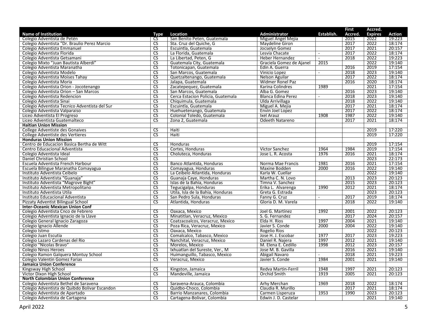|                                               |                                   |                                   |                          |                          | <b>First</b> | Accred.        |               |
|-----------------------------------------------|-----------------------------------|-----------------------------------|--------------------------|--------------------------|--------------|----------------|---------------|
| <b>Name of Institution</b>                    | Type                              | Location                          | Administrator            | Establish.               | Accred.      | <b>Expires</b> | <b>Action</b> |
| Colegio Adventista de Petén                   | CS                                | San Benito Peten, Guatemala       | Miguel Angel Mejia       |                          | 2015         | 2022           | 19:223        |
| Colegio Adventista "Dr. Braulio Perez Marcio  | $\overline{\text{CS}}$            | Sta. Cruz del Quiche, G           | Maydeline Giron          |                          | 2017         | 2022           | 18:174        |
| Colegio Adventista Emmanuel                   | $\overline{\text{cs}}$            | Escuintla, Guatemala              | Jocselyn Gomez           |                          | 2017         | 2021           | 20:157        |
| Colegio Adventista Florida                    | $\overline{\text{CS}}$            | La Florida, Guatemala             | Lesvia Chacate           | $\overline{\phantom{a}}$ | 2017         | 2022           | 18:174        |
| Colegio Adventista Getsamani                  | $\overline{\text{CS}}$            | La Libertad, Peten, G             | Heber Hernandez          | $\sim$                   | 2018         | 2022           | 19:223        |
| Colegio Mixto "Juan Bautista Alberdi"         | CS                                | Guatemala City, Guatemala         | Graciela Gomez de Ajanel | 2015                     |              | 2022           | 19:140        |
| Colegio Adventista Maranatha                  | <b>CS</b>                         | Totonicapan, Guatemala            | Edin A. Guerra           |                          | 2016         | 2019           | 17:154        |
| Colegio Adventista Modelo                     | $\overline{\text{CS}}$            | San Marcos, Guatemala             | Vinicio Lopez            | $\bar{a}$                | 2018         | 2023           | 19:140        |
| Colegio Adventista Moises Tahay               | $\overline{\text{CS}}$            | Quetzaltenango, Guatemala         | Nelson Aguilar           |                          | 2017         | 2022           | 18:174        |
| Colegio Adventista Moria                      | $\overline{\text{CS}}$            | Jalapa, Guatemala                 | Widmer Ronel Paz         |                          | 2016         | 2020           | 18:174        |
| Colegio Adventista Orion - Jocotenango        | <b>CS</b>                         | Zacatepequez, Guatemala           | Karina Colindres         | 1989                     |              | 2021           | 17:154        |
| Colegio Adventista Orion - San Marcos         | $\overline{\text{CS}}$            | San Marcos, Guatemala             | Alba G. Gomez            |                          | 2016         | 2023           | 19:140        |
| Colegio Adventista Redencion                  | $\overline{\text{CS}}$            | Cerca Estacion Policia, Guatemala | Blanca Edina Perez       | $\blacksquare$           | 2018         | 2023           | 19:140        |
| Colegio Adventista Sinai                      | $\overline{\text{cs}}$            | Chiquimula, Guatemala             | Ulda Arrivillaga         |                          | 2018         | 2022           | 19:140        |
| Colegio Adventista Tecnico Adventista del Sur | $\overline{\text{CS}}$            | Escuintla, Guatemala              | Miguel A. Mejia          |                          | 2017         | 2021           | 18:174        |
| Colegio Adventista Valparaiso                 | $\overline{\text{CS}}$            | Huehuetenango, Guatemala          | Envin Joel Lopez         |                          | 2017         | 2022           | 18:174        |
| Liceo Adventista El Progreso                  | $\overline{\text{CS}}$            | Colonial Toledo, Guatemala        | Ixel Arauz               | 1908                     | 1987         | 2022           | 19:140        |
| Liceo Adventista Guatemalteco                 | $\overline{\overline{\text{CS}}}$ | Zona 2, Guatemala                 | Odeeth Natareno          |                          | 2017         | 2021           | 18:174        |
| <b>Haitian Union Mission</b>                  |                                   |                                   |                          |                          |              |                |               |
| College Adventiste des Gonaives               | $\overline{\text{CS}}$            | Haiti                             |                          |                          |              | 2019           | 17:220        |
| College Adventiste des Vertieres              | $\overline{\mathsf{CS}}$          | Haiti                             |                          |                          |              | 2019           | 17:220        |
| <b>Honduras Union Mission</b>                 |                                   |                                   |                          |                          |              |                |               |
| Centro de Educacion Basica Bertha de Witt     | $\overline{\text{CS}}$            | Honduras                          |                          |                          |              | 2019           | 17:154        |
| Centro Educacional Adventista                 | <b>CS</b>                         | Cortes, Honduras                  | <b>Victor Sanchez</b>    | 1964                     | 1984         | 2019           | 17:154        |
| Colegio Adventista Ideal                      | $\overline{\text{CS}}$            | Choluteca, Honduras               | Jose L. R. Acosta        | 1976                     | 2016         | 2021           | 18:174        |
| Daniel Christian School                       | $\overline{\text{CS}}$            |                                   |                          |                          |              | 2023           | 22:173        |
| Escuela Adventista French Harbour             | $\overline{\text{CS}}$            | Banco Atlantida, Honduras         | Norma Mae Francis        | 1981                     | 2016         | 2021           | 17:154        |
| Escuela Bilingue Maranatha Comayagua          | $\overline{\text{CS}}$            | Comayagua, Honduras               | Maxine Bodden            | 2000                     | 2016         | 2022           | 19:140        |
| Instituto Adventista Ceibelo                  | $\overline{\text{cs}}$            | La Ceibelo Atlantida, Honduras    | Karla W. Cuellar         |                          |              | 2022           | 19:140        |
| Instituto Adventista "Guanaja"                | $\overline{\text{CS}}$            | Guanaja Caye, Honduras            | Martha C. N. Lovo        |                          | 2013         | 2023           | 20:123        |
| Instituto Adventista "Magrove Bight"          | $\overline{\text{CS}}$            | Islas de la Bahia, Honduras       | Timna V. Sanchez         |                          | 2015         | 2023           | 20:123        |
| Instituto Adventista Metropolitano            | <b>CS</b>                         | Tegucigalpa, Honduras             | Erika L. Alvarenga       | 1990                     | 2012         | 2021           | 18:174        |
| Instituto Adventista Utila                    | $\overline{\text{CS}}$            | Utila, Isla de la Bahia, Honduras | Greta G. Estrada         |                          |              | 2023           | 20:123        |
| Instituto Educacional Adventista              | $\overline{\text{CS}}$            | San Pedro Sula, Honduras          | Fanny G. Cruz            | $\sim$                   | 2017         | 2019           | 18:174        |
| Pizzaty Adventist Bilingual School            | $\overline{\text{CS}}$            | Atlantida, Honduras               | Gloria D. M. Varela      |                          | 2018         | 2022           | 19:140        |
| <b>Inter-Oceanic Mexican Union Conf</b>       |                                   |                                   |                          |                          |              |                |               |
| Colegio Adventista Cnco de Febrero            | $\overline{\text{CS}}$            | Oaxaca, Mexico                    | Joel G. Martinez         | 1992                     | 2001         | 2022           | 20:123        |
| Colegio Adventista Ignacio de la Llave        | $\overline{\text{CS}}$            | Minatitlan, Veracruz, Mexico      | S. G. Fernandez          |                          | 2017         | 2024           | 20:157        |
| Colegio General Ignacio Zaragoza              | $\overline{\text{CS}}$            | Coatzacoalcos, Veracruz, Mexico   | Elda H. Rios             | 1997                     | 2004         | 2021           | 19:140        |
| Colegio Ignacio Allende                       | <b>CS</b>                         | Poza Rica, Veracruz, Mexico       | Javier S. Conde          | 2000                     | 2004         | 2022           | 19:140        |
| Colegio Istmo                                 | $\overline{\text{CS}}$            | Oaxaca, Mexico                    | Rogelio Rios             |                          |              | 2022           | 20:123        |
| Colegio Juan Escutia                          | $\overline{\text{CS}}$            | Comalcalco, Tabasco, Mexico       | Jose H. J. Escobar       | 1977                     | 2017         | 2023           | 19:223        |
| Colegio Lazaro Cardenas del Rio               | $\overline{\text{CS}}$            | Nanchital, Veracruz, Mexico       | Daniel R. Najera         | 1997                     | 2012         | 2021           | 19:140        |
| Colegio "Nicolas Bravo"                       | $\overline{\text{CS}}$            | Morelos, Mexico                   | M. Elena E. Cedillo      | 1998                     | 2012         | 2023           | 20:157        |
| <b>Colegio Ninos Heroes</b>                   | $\overline{\text{cs}}$            | Ixhuatlan del Sureste, Ver., M    | Jose M. B. Gavilla       |                          | 2016         | 2021           | 19:140        |
| Colegio Ramon Galquera Montuy School          | $\overline{\text{CS}}$            | Huimanguillo, Tabasco, Mexico     | Abigail Navaro           |                          | 2018         | 2021           | 19:223        |
| Colegio Valentin Gomez Farias                 | $\overline{\text{CS}}$            | Veracruz, Mexico                  | Javier S. Conde          | 1984                     | 2001         | 2021           | 19:140        |
| <b>Jamaica Union Conference</b>               |                                   |                                   |                          |                          |              |                |               |
| Kingsway High School                          | $\overline{\text{CS}}$            | Kingston, Jamaica                 | Redva Martin-Ferril      | 1948                     | 1997         | 2021           | 20:123        |
| Victor Dixon High School                      | $\overline{\text{CS}}$            | Mandeville, Jamaica               | Orchid Smith             | 1919                     | 2005         | 2021           | 20:123        |
| <b>North Colombian Union Conference</b>       |                                   |                                   |                          |                          |              |                |               |
| Colegio Adventista Bethel de Saravena         | $\overline{\text{CS}}$            | Saravena-Arauca, Colombia         | Arhy Merchan             | 1969                     | 2018         | 2022           | 18:174        |
| Colegio Adventista de Quibdo Bolivar Escandon | <b>CS</b>                         | Quidbo-Choco, Colombia            | Claudia R. Murillo       |                          | 2017         | 2021           | 18:174        |
| Colegio Adventista de Apartado                | $\overline{\text{CS}}$            | Barrio Manzanares, Colombia       | Carmen Lisperuza         | 1953                     | 1990         | 2023           | 20:123        |
| Colegio Adventista de Cartagena               | $\overline{\text{CS}}$            | Cartagena-Bolivar, Colombia       | Edwin J. D. Castelar     |                          |              | 2021           | 19:140        |
|                                               |                                   |                                   |                          |                          |              |                |               |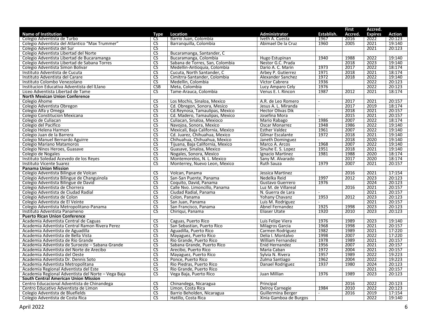|                                                    |                                   |                                   |                          |                | <b>First</b> | Accred.        |               |
|----------------------------------------------------|-----------------------------------|-----------------------------------|--------------------------|----------------|--------------|----------------|---------------|
| <b>Name of Institution</b>                         | Type                              | Location                          | <b>Administrator</b>     | Establish.     | Accred.      | <b>Expires</b> | <b>Action</b> |
| Colegio Adventista de Turbo                        | CS                                | Barrio Juan, Colombia             | Iveth A. Cuesta          | 1967           | 2016         | 2022           | 20:123        |
| Colegio Adventista del Atlantico "Max Trummer"     | $\overline{\text{CS}}$            | Barranguilla, Colombia            | Abimael De la Cruz       | 1960           | 2005         | 2021           | 19:140        |
| Colegio Adventista del Sur                         | $\overline{\text{cs}}$            |                                   |                          |                |              | 2021           | 20:123        |
| Colegio Adventista Libertad del Norte              | $\overline{\text{CS}}$            | Bucaramanga, Santander, C         |                          |                |              |                |               |
| Colegio Adventista Libertad de Bucaramanga         | $\overline{\text{CS}}$            | Bucaramanga, Colombia             | Hugo Estupinan           | 1940           | 1988         | 2022           | 19:140        |
| Colegio Adventista Libertad de Sabana Torres       | $\overline{\text{CS}}$            | Sabana de Torres, San, Colombia   | Nestor G.C. Prada        |                | 2018         | 2023           | 19:140        |
| Colegio Adventista Simon Bolivar                   | <b>CS</b>                         | Medellin-Antioquia, Colombia      | Dario A. C. Marin        | 1973           | 2017         | 2022           | 18:174        |
| Instituto Adventista de Cucuta                     | $\overline{\text{CS}}$            | Cucuta, North Santander, C        | Arbey P. Gutierrez       | 1971           | 2018         | 2021           | 18:174        |
| Instituto Adventista del Carare                    | $\overline{\text{CS}}$            |                                   | Alexander Sanchez        | 1972           | 2018         | 2022           | 19:140        |
|                                                    | CS                                | Cimitrra-Santander, Colombia      |                          |                |              | 2022           | 20:123        |
| Instituto Colombo Venezolano                       |                                   | Medellin, Colombia                | Victor Cabrera           | 1936           |              |                |               |
| Institucion Educativa Adventista del ILlano        | <b>CSB</b>                        | Meta, Colombia                    | Lucy Amparo Cely         | 1976           |              | 2022           | 20:123        |
| Liceo Adventista Libertad de Tame                  | $\overline{\text{cs}}$            | Tame-Arauca, Colombia             | Venus E. I. Rincon       | 1987           | 2012         | 2021           | 18:174        |
| <b>North Mexican Union Conference</b>              |                                   |                                   |                          |                |              |                |               |
| Colegio Ahome                                      | <b>CS</b>                         | Los Mochis, Sinaloa, Mexico       | A.R. de Leo Romero       | $\overline{a}$ | 2017         | 2021           | 20:157        |
| Colegio Adventista Obregon                         | $\overline{\text{CS}}$            | Cd. Obregon, Sonora, Mesico       | Jesus A. L. Miranda      |                | 2017         | 2019           | 18:174        |
| Colegio Alfa y Omega                               | $\overline{\text{CS}}$            | Cd.Reynosa, Tamaulipas, Mexico    | <b>Hector Olivas Dik</b> | $\sim$         | 2018         | 2021           | 20:157        |
| Colegio Constitucion Mexicana                      | $\overline{\text{CS}}$            | Cd. Madero, Tamaulipas, Mexico    | Josefina Mora            | $\sim$         | 2015         | 2021           | 20:157        |
| Colegio de Culiacan                                | $\overline{\overline{\text{CS}}}$ | Culiacan, Sinaloa, Mexioco        | Mario Rabago             | 1986           | 2007         | 2022           | 18:174        |
| Colegio del Pacifico                               | $\overline{\text{cs}}$            | Navojoa, Sonora, Mexico           | Oscar Monarrez           | 1948           | 1986         | 2022           | 19:140        |
| Colegio Helena Harmon                              | $\overline{\text{CS}}$            | Mexicali, Baja California, Mexico | <b>Esther Valdez</b>     | 1961           | 2007         | 2022           | 19:140        |
| Colegio Juan de la Barrera                         | $\overline{\text{CS}}$            | Cd. Juarez. Chihuahua. Mexico     | Gilmar Escalante         | 1972           | 2018         | 2021           | 19:140        |
| Colegio Manuel Bernardo Aguirre                    | $\overline{\text{CS}}$            | Chihuahua, Chihuahua, Mexico      | Janeth Dominguez         | $\sim$         | 2018         | 2020           | 19:140        |
| Colegio Mariano Matamoros                          | $\overline{\text{CS}}$            | Tijuana, Baja California, Mexico  | Marco A. Arcos           | 1968           | 2007         | 2022           | 19:140        |
| Colegio Ninos Heroes, Guasave                      | <b>CS</b>                         | Guasave, Sinaloa, Mexico          | Sinuhe E. S. Lopez       | 1951           | 2018         | 2021           | 19:140        |
| Colegio de Nogales                                 | $\overline{\text{CS}}$            | Nogales, Sonora, Mexico           | Ignacio Martinez         | 1981           | 1988         | 2020           | 18:174        |
| Instituto Soledad Acevedo de los Reyes             | $\overline{\text{CS}}$            | Montemorelos, N. L. Mexico        | Sany M. Alvarado         |                | 2017         | 2020           | 18:174        |
| Instituto Vicente Suarez                           | $\overline{\text{CS}}$            | Monterrey, Nuevo Leon, Mexico     | <b>Ruth Sauza</b>        | 1979           | 2007         | 2021           | 20:157        |
| <b>Panama Union Mission</b>                        |                                   |                                   |                          |                |              |                |               |
| Colegio Adventista Bilingue de Volcan              | $\overline{\text{cs}}$            | Volcan, Panama                    | Jessica Martinez         |                | 2016         | 2021           | 17:154        |
| Colegio Adventista Bilingue de Changuinola         | $\overline{\text{CS}}$            | San-San Puente, Panama            | Nedelka Reid             | 1997           | 2012         | 2023           | 20:123        |
| Colegio Adventista Bilingue de David               | $\overline{\text{CS}}$            | Coquito, David, Panama            | Gustavo Guerrero         | 1976           |              | 2024           | 20:123        |
| Colegio Adventista de Chorrera                     | <b>CS</b>                         | Calle Nvo. Limoncillo, Panama     | Luz M. de Villareal      |                | 2016         | 2021           | 20:157        |
|                                                    | $\overline{\text{CS}}$            |                                   |                          | $\sim$         |              |                |               |
| Colegio Adventista de Ciudad Radial                | $\overline{\text{CS}}$            | Ciudad Radial, Panama             | N. Guerra de Lara        |                |              | 2021           | 20:157        |
| Colegio Adventista de Colon                        |                                   | Colon, Panama                     | Yohany Chavanz           | 1953           | 2012         | 2023           | 20:123        |
| Colegio Adventista de El Veinte                    | $\overline{\text{CS}}$            | San Juan, Panama                  | Luis M. Rodriguez        | $\sim$         |              | 2021           | 20:157        |
| Colegio Adventista Metropolitano-Panama            | <b>CS</b>                         | San Francisco, Panama             | Abnel Fernandez          | 1925           | 1998         | 2023           | 20:123        |
| Instituto Adventista Panameno                      | $\overline{\text{CS}}$            | Chiriqui, Panama                  | <b>Eliaser Utate</b>     | 1920           | 2010         | 2023           | 20:123        |
| <b>Puerto Rican Union Conference</b>               |                                   |                                   |                          |                |              |                |               |
| Academia Adventista Central de Caguas              | $\overline{\text{CS}}$            | Caguas, Puerto Rico               | Luis Felipe Viera        | 1976           | 1989         | 2023           | 19:140        |
| Academia Adventista Central Ramon Rivera Perez     | <b>CS</b>                         | San Sebastian, Puerto Rico        | <b>Milagros Garcia</b>   | 1968           | 1998         | 2021           | 20:157        |
| Academia Adventista de Aguadilla                   | $\overline{\text{CS}}$            | Aguadilla, Puerto Rico            | Carmen Rodriguez         | 1982           | 1989         | 2021           | 17:220        |
| Academia Adventista de Bella Vista                 | $\overline{\text{cs}}$            | Mayaguez, Puerto Rico             | Delia I. Montalvo        | 1998           | 2007         | 2022           | 17:220        |
| Academia Adventista de Rio Grande                  | $\overline{\text{CS}}$            | Rio Grande, Puerto Rico           | <b>William Fernandez</b> | 1978           | 1989         | 2021           | 20:157        |
| Academia Adventista de Suroeste - Sabana Grande    | $\overline{\text{CS}}$            | Sabana Grande, Puerto Rico        | Enid Hernandez           | 1956           | 2007         | 2021           | 20:157        |
| Academia Adventista del Norte de Arecibo           | $\overline{\text{cs}}$            | Arecibo, Puerto Rico              | Maria Caban              | 1972           | 2004         | 2021           | 20:157        |
| Academia Adventista del Oeste                      | $\overline{\text{CS}}$            | Mayaguez, Puerto Rico             | Sylvia N. Rivera         | 1957           | 1989         | 2022           | 19:223        |
| Academia Adventista Dr. Dennis Soto                | $\overline{\text{CS}}$            | Ponce, Puerto Rico                | Zulma Santiago           | 1962           | 2004         | 2022           | 19:223        |
| Academia Adventista Metropolitana                  | <b>CS</b>                         | Rio Piedras, Puerto Rico          | Danael Rodriguez         | 1937           | 1980         | 2024           | 20:123        |
| Academia Regional Adventista del Este              | CS                                | Rio Grande, Puerto Rico           |                          |                |              | 2021           | 20:157        |
| Academia Regional Adventista del Norte - Vega Baja | $\overline{\text{CS}}$            | Vega Baja, Puerto Rico            | Juan Millian             | 1976           | 1989         | 2023           | 20:123        |
| <b>South Central American Union Mission</b>        |                                   |                                   |                          |                |              |                |               |
| Centro Educacional Adventista de Chinandega        | $\overline{\text{CS}}$            | Chinandega, Nicaragua             | Principal                |                | 2016         | 2022           | 20:123        |
| Centro Educativo Adventista de Limon               | <b>CS</b>                         | Limon, Costa Rica                 | Delroy Carnegie          | 1984           | 2010         | 2022           | 20:123        |
| Colegio Adventista de Bluefields                   | $\overline{\text{CS}}$            | Barrio Beholden, Nicaragua        | Guillermina Berger       | $\omega$       | 2016         | 2019           | 17:154        |
| Colegio Adventista de Costa Rica                   | $\overline{\text{CS}}$            |                                   | Xinia Gamboa de Burgos   |                |              | 2022           | 19:140        |
|                                                    |                                   | Hatillo, Costa Rica               |                          |                |              |                |               |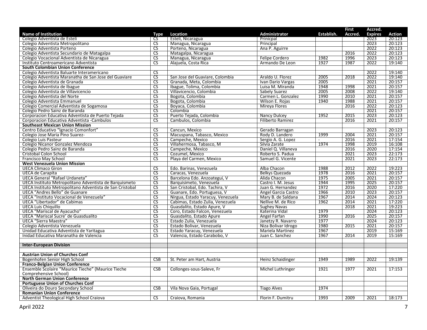|                                                          |                          |                                   |                          |            | <b>First</b> | Accred.        |        |
|----------------------------------------------------------|--------------------------|-----------------------------------|--------------------------|------------|--------------|----------------|--------|
| <b>Name of Institution</b>                               | Type                     | Location                          | Administrator            | Establish. | Accred.      | <b>Expires</b> | Action |
| Colegio Adventista de Esteli                             | <b>CS</b>                | Esteli, Nicaragua                 | Prinicpal                |            |              | 2023           | 20:123 |
| Colegio Adventista Metropolitano                         | $\overline{\text{cs}}$   | Managua, Nicaragua                | Principal                |            |              | 2023           | 20:123 |
| Colegio Adventista Porteno                               | CS                       | Porteno, Nicaragua                | Ana P. Aguirre           |            |              | 2022           | 20:123 |
| Colegio Adventista Secundario de Matagalpa               | <b>CS</b>                | Matagalpa, Nicaragua              |                          |            | 2016         | 2022           | 20:123 |
| Colegio Vocacional Adventista de Nicaragua               | <b>CS</b>                | Managua, Nicaragua                | Felipe Cordero           | 1982       | 1996         | 2023           | 20:123 |
| Instituto Centroamericano Adventista                     | $\overline{\text{CS}}$   | Alajuela, Costa Rica              | Armando De Leon          | 1927       | 1987         | 2022           | 19:140 |
| South Colombian Union Conference                         |                          |                                   |                          |            |              |                |        |
| Colegio Adventista Baluarte Interamericano               | $\overline{\text{CS}}$   |                                   |                          |            |              | 2022           | 19:140 |
| Colegio Adventista Maranatha de San Jose del Guaviare    | <b>CS</b>                | San Jose del Guaviare, Colombia   | Araldo U. Florez         | 2005       | 2018         | 2022           | 19:140 |
| Colegio Adventista de Granada                            | CS                       | Granada, Meta, Colombia           | Ivan Dario Vargas        | 2005       |              | 2021           | 20:157 |
| Colegio Adventista de Ibague                             | $\overline{\text{CS}}$   | Ibague, Tolima, Colombia          | Luisa M. Miranda         | 1948       | 1998         | 2021           | 20:157 |
| Colegio Adventista de Villavicencio                      | $\overline{\text{CS}}$   | Villavicencio, Colombia           | Sabely Suarez            | 2005       | 2008         | 2022           | 19:140 |
| Colegio Adventista del Norte                             | <b>CS</b>                | Bogota, Colombia                  | Carmen L. Gonzalez       | 1990       | 2010         | 2021           | 20:157 |
| Colegio Adventista Emmanuel                              | $\overline{\text{CS}}$   | Bogota, Colombia                  | Wilson E. Rojas          | 1940       | 1988         | 2021           | 20:157 |
| Colegio Comercial Adventista de Sogamosa                 | $\overline{\text{CS}}$   | Boyaca, Colombia                  | Mireya Flores            |            | 2016         | 2022           | 20:123 |
| Colegio Pedro Sainz de Baranda                           | $\overline{\text{CS}}$   | Colombia                          |                          |            |              | 2021           | 20:157 |
| Corporacion Educativa Adventista de Puerto Tejada        | <b>CS</b>                | Puerto Tejada, Colombia           | Nancy Dulcey             | 1952       | 2015         | 2023           | 20:123 |
| Corporacion Educativa Adventista - Cambulos              | $\overline{\text{CS}}$   | Cambulos, Colombia                | <b>Filiberto Ramirez</b> |            | 2016         | 2021           | 20:157 |
| <b>Southeast Mexican Union Mission</b>                   |                          |                                   |                          |            |              |                |        |
| Centro Educativo "Ignacio Comonfort"                     | <b>CS</b>                | Cancun, Mexico                    | Gerado Barragan          |            |              | 2023           | 20:123 |
| Colegio Jose Maria Pino Suarez-                          | <b>CS</b>                | Macuspana, Tabasco, Mexico        | Rody D. Landero          | 1999       | 2004         | 2021           | 20:157 |
| Colegio Luis Pasteur                                     | CS                       | Campeche, Mexico                  | Sergio A. G. Lopez       |            | 2016         | 2021           | 17:154 |
| Colegio Nicanor Gonzalez Mendoza                         | $\overline{\text{CS}}$   | Villahermosa, Tabasco, M          | Silvia Zarate            | 1974       | 1998         | 2019           | 16:108 |
| Colegio Pedro Sainz de Baranda                           | $\overline{\text{CS}}$   | Campeche, Mexico                  | Daniel Q. Villaneva      |            | 2016         | 2020           | 17:154 |
| Cristobal Colon School                                   | <b>CS</b>                | Cozumel, Mexico                   | Roberto S. Padua         |            | 2021         | 2023           | 22:173 |
| Francisco May School                                     | $\overline{\text{cs}}$   | Playa del Carmen, Mexico          | Samuel G. Vicente        |            | 2021         | 2023           | 22:173 |
| <b>West Venezuela Union Mission</b>                      |                          |                                   |                          |            |              |                |        |
| <b>UECA Climaco Giron</b>                                | <b>CS</b>                | Edo. Barinas, Venezuela           | Alba Chacon              | 1988       | 2012         | 2022           | 19:223 |
| UECA de Carapita                                         | $\overline{\text{CS}}$   | Caracas, Venezuela                | Belkys Quezada           | 1978       | 2016         | 2021           | 20:157 |
| UECA General "Rafael Urdaneta"                           | $\overline{\text{CS}}$   | Barcelona Edo. Anzoategui, V      | Alida Chacon             | 1975       | 2005         | 2021           | 20:157 |
| UECA Instituto Metropolitano Adventista de Barquismeto   | $\overline{\text{CS}}$   | Barquisimeto, Venezuela           | Castro I. M. Jesus       | 1944       | 1995         | 2025           | 20:157 |
| UECA Instituto Metropolitano Adventista de San Cristobal | $\overline{\text{CS}}$   | San Cristobal, Edo. Tachira, V    | Juan G. Hernandez        | 1972       | 2016         | 2020           | 17:220 |
| UECA "Andres Bello" de Guanare                           | <b>CS</b>                | Guanare, Edo. Portuguesa, V       | Angel Garcia Castro      | 1966       | 2010         | 2023           | 20:157 |
| UECA "Instituto Vocacional de Venezuela"                 | <b>CS</b>                | Nirgua, Estado Yaracuy, Venezuela | Mary B. de Saldana       | 1967       | 2014         | 2024           | 20:123 |
| UECA "Libertador" de Cabimas                             | $\overline{\mathsf{CS}}$ | Cabimas, Estado Zulia, Venezuela  | Nellive M. de Rico       | 1962       | 2014         | 2021           | 17:220 |
| <b>UECA Luis Chiquillo</b>                               | $\overline{\text{CS}}$   | Guasdalito, Estado Apure, V       | <b>Sughey Navas</b>      |            | 2018         | 2021           | 19:223 |
| UECA "Mariscal de Ayacucho"                              | $\overline{\text{CS}}$   | Coro, Estado Falcon, Venezuela    | Katerina Vidal           | 1979       |              | 2024           | 20:123 |
| UECA "Mariscal Sucre' de Guasdualito                     | $\overline{\text{cs}}$   | Guasdalito, Estado Apure          | Angel Farfan             | 1990       | 2016         | 2025           | 20:157 |
| UECA "Sierra Maestra"                                    | $\overline{\text{CS}}$   | Estado Zulia, Venezuela           | Janetzy R. Navarro       | 1977       |              | 2024           | 20:123 |
| Colegio Adventista Venezuela                             | $\overline{\text{CS}}$   | Estado Bolivar, Venezuela         | Niza Bolivar Idrogo      | 1980       | 2015         | 2021           | 20:157 |
| Unidad Educativa Adventista de Yaritagua                 | <b>CS</b>                | Estado Yaracuy, Venezuela         | Mariela Martinez         | 1967       |              | 2019           | 15:169 |
| Inidad Educativa Maranatha de Valencia                   | $\overline{\text{cs}}$   | Valencia, Estado Carabobo, V      | Juan C. Sanchez          | 1967       | 2014         | 2019           | 15:169 |
|                                                          |                          |                                   |                          |            |              |                |        |
| <b>Inter-European Division</b>                           |                          |                                   |                          |            |              |                |        |
|                                                          |                          |                                   |                          |            |              |                |        |
| <b>Austrian Union of Churches Conf</b>                   |                          |                                   |                          |            |              |                |        |
| Bogenhofen Senior High School                            | <b>CSB</b>               | St. Peter am Hart, Austria        | Heinz Schaidinger        | 1949       | 1989         | 2022           | 19:139 |
| <b>Franco-Belgian Union Conference</b>                   |                          |                                   |                          |            |              |                |        |
| Ensemble Scolaire "Maurice Tieche" (Maurice Tieche       | CSB                      | Collonges-sous-Saleve, Fr         | Michel Luthringer        | 1921       | 1977         | 2021           | 17:153 |
| Comprehensive School)                                    |                          |                                   |                          |            |              |                |        |
| <b>North German Union Conference</b>                     |                          |                                   |                          |            |              |                |        |
| Portuguese Union of Churches Conf                        |                          |                                   |                          |            |              |                |        |
| Oliveira do Douro Secondary School                       | CSB                      | Vila Nova Gaia, Portugal          | <b>Tiago Alves</b>       | 1974       |              |                |        |
| <b>Romanian Union Conference</b>                         |                          |                                   |                          |            |              |                |        |
| Adventist Theological High School Craiova                | <b>CS</b>                | Craiova, Romania                  | Florin F. Dumitru        | 1993       | 2009         | 2021           | 18:173 |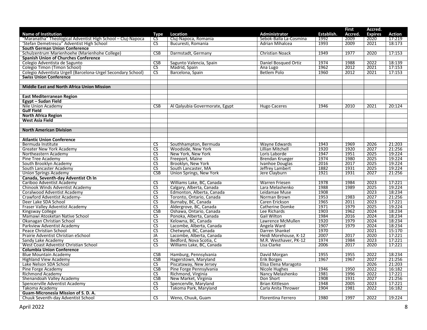|                                                              |                        |                                |                        |            | <b>First</b> | Accred.        |               |
|--------------------------------------------------------------|------------------------|--------------------------------|------------------------|------------|--------------|----------------|---------------|
| <b>Name of Institution</b>                                   | Type                   | Location                       | Administrator          | Establish. | Accred.      | <b>Expires</b> | <b>Action</b> |
| "Maranatha" Theological Adventist High School - Cluj-Napoca  | <b>CS</b>              | Cluj-Napoca, Romania           | Sebok-Balla La-Cosmina | 1992       | 2009         | 2020           | 17:219        |
| 'Stefan Demetrescu" Adventist High School                    | $\overline{\text{CS}}$ | Bucuresti, Romania             | Adrian Mihalcea        | 1993       | 2009         | 2021           | 18:173        |
| <b>South German Union Conference</b>                         |                        |                                |                        |            |              |                |               |
| Schulzentrum Marienhoehe (Marienhohe College)                | CSB                    | Darmstadt, Germany             | Christian Noack        | 1949       | 1977         | 2020           | 17:153        |
| <b>Spanish Union of Churches Conference</b>                  |                        |                                |                        |            |              |                |               |
| Colegio Adventista de Sagunto                                | CSB                    | Sagunto Valencia, Spain        | Daniel Bosqued Ortiz   | 1974       | 1988         | 2022           | 18:139        |
| Colegio Timon (Timon School)                                 | $\overline{\text{cs}}$ | Madrid, Spain                  | Ana Lugo               | 1962       | 2012         | 2021           | 17:153        |
| Colegio Adventista Urgell (Barcelona-Urgel Secondary School) | CS                     | Barcelona, Spain               | Betlem Polo            | 1960       | 2012         | 2021           | 17:153        |
| <b>Swiss Union Conference</b>                                |                        |                                |                        |            |              |                |               |
|                                                              |                        |                                |                        |            |              |                |               |
| <b>Middle East and North Africa Union Mission</b>            |                        |                                |                        |            |              |                |               |
|                                                              |                        |                                |                        |            |              |                |               |
| <b>East Mediterranean Region</b>                             |                        |                                |                        |            |              |                |               |
| Egypt - Sudan Field                                          |                        |                                |                        |            |              |                |               |
| Nile Union Academy                                           | CSB                    | Al Qalyubia Govermorate, Egypt | <b>Hugo Caceres</b>    | 1946       | 2010         | 2021           | 20:124        |
| <b>Gulf Field</b>                                            |                        |                                |                        |            |              |                |               |
| <b>North Africa Region</b>                                   |                        |                                |                        |            |              |                |               |
| <b>West Asia Field</b>                                       |                        |                                |                        |            |              |                |               |
|                                                              |                        |                                |                        |            |              |                |               |
| <b>North American Division</b>                               |                        |                                |                        |            |              |                |               |
|                                                              |                        |                                |                        |            |              |                |               |
| <b>Atlantic Union Conference</b>                             |                        |                                |                        |            |              |                |               |
| Bermuda Institute                                            | <b>CS</b>              | Southhampton, Bermuda          | Wayne Edwards          | 1943       | 1969         | 2026           | 21:203        |
| Greater New York Academy                                     | $\overline{\text{CS}}$ | Woodside, New York             | Lillian Mitchell       | 1920       | 1920         | 2027           | 21:256        |
| Northeastern Academy                                         | <b>CS</b>              | New York, New York             | Loris Laborde          | 1947       | 1951         | 2025           | 19:224        |
| Pine Tree Academy                                            | $\overline{\text{CS}}$ | Freeport, Maine                | Brendan Krueger        | 1974       | 1980         | 2025           | 19:224        |
| South Brooklyn Academy                                       | $\overline{\text{CS}}$ | Brooklyn, New York             | Ivanhoe Douglas        | 2016       | 2017         | 2025           | 19:224        |
| South Lancaster Academy                                      | $\overline{\text{CS}}$ | South Lancaster, MA            | Jeffrey Lambert        | 1882       | 1931         | 2025           | 19:224        |
| <b>Union Springs Academy</b>                                 | <b>CSB</b>             | Union Springs, New York        | Jere Clayburn          | 1921       | 1931         | 2027           | 21:256        |
| Canada, Seventh-day Adventist Ch In                          |                        |                                |                        |            |              |                |               |
| Cariboo Adventist Academy                                    | $\overline{\text{CS}}$ | Williams Lake, BC, Canada      | Warren Friesen         | 1978       | 1984         | 2023           | 17:221        |
| Chinook Winds Adventist Academy                              | $\overline{\text{CS}}$ | Calgary, Alberta, Canada       | Lara Melashenko        | 1988       | 1989         | 2025           | 19:224        |
| Coralwood Adventist Academy                                  | <b>CS</b>              | Edmonton, Alberta, Canada      | Leidamae Muse          | 1908       |              | 2023           | 18:234        |
| Crawford Adventist Academy-                                  | $\overline{\text{CS}}$ | Toronto, Ontario, Canada       | Norman Brown           | 1953       | 1983         | 2027           | 21:256        |
| Deer Lake SDA School                                         | $\overline{\text{CS}}$ | Burnaby, BC, Canada            | Caren Erickson         | 1965       | 2011         | 2023           | 17:221        |
| Fraser Valley Adventist Academy                              | $\overline{\text{cs}}$ | Aldergrove, BC, Canada         | Catherine Domke        | 1971       | 1979         | 2025           | 19:224        |
| Kingsway College                                             | CSB                    | Oshawa, Ontario, Canada        | Lee Richards           | 1903       | 1962         | 2024           | 18:234        |
| Mamawi Atosketan Native School                               | $\overline{\text{cs}}$ | Ponoka, Alberta, Canada        | <b>Gail Wilton</b>     | 1984       | 2016         | 2024           | 18:234        |
| Okanagan Christian School                                    | $\overline{\text{CS}}$ | Kelowna, BC, Canada            | Lawrence McMullen      | 1920       | 1979         | 2024           | 18:234        |
| Parkview Adventist Academy                                   | $\overline{\text{CS}}$ | Lacombe, Alberta, Canada       | Angela Ward            | 1907       | 1979         | 2024           | 18:234        |
| Peace Christian School                                       | <b>CS</b>              | Chetwynd, BC, Canada           | Darren Shankel         | 1970       |              | 2021           | 15:170        |
| Prairie Adventist Christian eSchool                          | JA                     | Lacombe, Alberta, Canada       | Heidi Morehouse, K-12  | 2007       | 2017         | 2020           | 17:221        |
| Sandy Lake Academy                                           | $\overline{\text{CS}}$ | Bedford, Nova Scotia, C        | M.R. Westhaver, PK-12  | 1974       | 1984         | 2023           | 17:221        |
| West Coast Adventist Christian School                        | $\overline{\text{cs}}$ | Williams Lake, BC, Canada      | Lisa Clarke            | 2006       | 2017         | 2020           | 17:221        |
| <b>Columbia Union Conference</b>                             |                        |                                |                        |            |              |                |               |
| <b>Blue Mountain Academy</b>                                 | <b>CSB</b>             | Hamburg, Pennsylvania          | David Morgan           | 1955       | 1955         | 2022           | 18:234        |
| <b>Highland View Academy</b>                                 | CSB                    | Hagerstown, Maryland           | Erik Borges            | 1967       | 1967         | 2027           | 21:256        |
| Lake Nelson SDA School                                       | $\overline{\text{CS}}$ | Piscataway, New Jersey         | Elisa Elena Maragoto   |            |              | 2026           | 21:203        |
| Pine Forge Academy                                           | CSB                    | Pine Forge Pennsylvania        | Nicole Hughes          | 1946       | 1950         | 2022           | 16:182        |
| Richmond Academy                                             | $\overline{\text{CS}}$ | Richmond, Virginia             | Nancy Melashenko       | 1981       | 1996         | 2022           | 17:221        |
| Shenandoah Valley Academy                                    | CSB                    | New Market, Virginia           | Don Short              | 1908       | 1931         | 2027           | 21:256        |
| Spencerville Adventist Academy                               | $\overline{\text{cs}}$ | Spencervlle, Maryland          | Brian Kittleson        | 1948       | 2005         | 2023           | 17:221        |
| Takoma Academy                                               | $\overline{\text{CS}}$ | Takoma Park, Maryland          | Carla Anita Thrower    | 1904       | 1981         | 2022           | 16:182        |
| Guam-Micronesia Mission of S. D. A.                          |                        |                                |                        |            |              |                |               |
| Chuuk Seventh-day Adventist School                           | <b>CS</b>              | Weno, Chuuk, Guam              | Florentina Ferrero     | 1980       | 1997         | 2022           | 19:224        |
|                                                              |                        |                                |                        |            |              |                |               |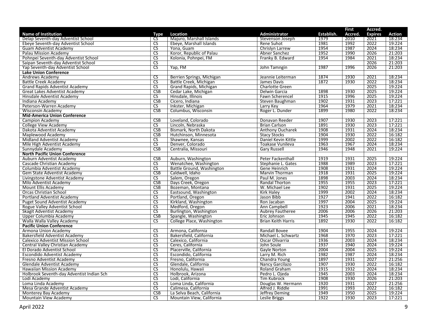|                                           |                        |                            |                           |            | First   | Accred.        |               |
|-------------------------------------------|------------------------|----------------------------|---------------------------|------------|---------|----------------|---------------|
| <b>Name of Institution</b>                | Type                   | Location                   | Administrator             | Establish. | Accred. | <b>Expires</b> | <b>Action</b> |
| Delap Seventh-day Adventist School        | CS                     | Majuro, Marshall Islands   | Stevenson Joseph          | 1979       | 2010    | 2021           | 18:234        |
| Ebeye Seventh-day Adventist School        | $\overline{\text{cs}}$ | Ebeye, Marshall Islands    | Rene Suhot                | 1981       | 1992    | 2022           | 19:224        |
| Guam Adventist Academy                    | CS                     | Yona, Guam                 | Chrislyn Larrew           | 1954       | 1987    | 2024           | 18:234        |
| Palau Mission Academy                     | <b>CS</b>              | Koror, Republic of Palau   | Abner Sanchez             | 1952       | 1990    | 2026           | 21:203        |
| Pohnpei Seventh-day Adventist School      | $\overline{\text{CS}}$ | Kolonia, Pohnpei, FM       | Franky B. Edward          | 1954       | 1984    | 2021           | 18:234        |
| Saipan Seventh-day Adventist School       | $\overline{\text{CS}}$ |                            |                           |            |         | 2026           | 21:203        |
| Yap Seventh-day Adventist School          | <b>CS</b>              | Yap, FM                    | John Tamngin              | 1987       | 1996    | 2026           | 21:203        |
| <b>Lake Union Conference</b>              |                        |                            |                           |            |         |                |               |
| Andrews Academy                           | <b>CS</b>              | Berrien Springs, Michigan  | Jeannie Leiterman         | 1874       | 1930    | 2021           | 18:234        |
| <b>Battle Creek Academy</b>               | $\overline{\text{CS}}$ | Battle Creek, Michigan     | James Davis               | 1872       | 1930    | 2022           | 18:234        |
| <b>Grand Rapids Adventist Academy</b>     | $\overline{\text{cs}}$ | Grand Rapids, Michigan     | Charlotte Green           |            |         | 2025           | 19:224        |
| <b>Great Lakes Adventist Academy</b>      | CSB                    | Cedar Lake, Michigan       | Delwin Garcia             | 1898       | 1930    | 2025           | 19:224        |
| Hinsdale Adventist Academy                | <b>CS</b>              | Hinsdale, Illinois         | Fawn Scherencel           | 1915       | 1996    | 2025           | 19:224        |
| Indiana Academy                           | CSB                    | Cicero, Indiana            | Steven Baughman           | 1902       | 1931    | 2023           | 17:221        |
| Peterson-Warren Academy                   | <b>CS</b>              | Inkster, Michigan          | Larry Key                 | 1964       | 1979    | 2021           | 18:234        |
| <b>Wisconsin Academy</b>                  | <b>CSB</b>             | Columbus, Wisconsin        | Roger L. Dunder           | 1899       | 1980    | 2022           | 18:234        |
| <b>Mid-America Union Conference</b>       |                        |                            |                           |            |         |                |               |
| Campion Academy                           | <b>CSB</b>             | Loveland, Colorado         | Donavan Reeder            | 1907       | 1930    | 2023           | 17:221        |
| <b>College View Academy</b>               | $\overline{\text{cs}}$ | Lincoln, Nebraska          | <b>Brian Carlson</b>      | 1891       | 1930    | 2023           | 17:221        |
| Dakota Adventist Academy                  | <b>CSB</b>             | Bismark, North Dakota      | Anthony Oucharek          | 1908       | 1931    | 2024           | 18:234        |
| Maplewood Academy                         | CSB                    | Hutchinson, Minnesota      | <b>Stacy Stocks</b>       | 1904       | 1930    | 2022           | 16:182        |
| Midland Adventist Academy                 | CS.                    | Shawnee, Kansas            | Daniel Kevin Kittle       | 1999       | 2002    | 2022           | 16:182        |
| Mile High Adventist Academy               | <b>CS</b>              | Denver, Colorado           | Toakase Vunileva          | 1963       | 1967    | 2024           | 18:234        |
| Sunnydale Academy                         | CSB                    | Centralia, Missouri        | <b>Gary Russell</b>       | 1946       | 1948    | 2021           | 19:224        |
| <b>North Pacific Union Conference</b>     |                        |                            |                           |            |         |                |               |
| Auburn Adventist Academy                  | CSB                    | Auburn, Washington         | <b>Peter Fackenthall</b>  | 1919       | 1931    | 2025           | 19:224        |
| Cascade Christian Academy                 | <b>CS</b>              | Wenatchee, Washington      | Stephanie L. Gates        | 1988       | 1989    | 2023           | 17:221        |
| Columbia Adventist Academy                | $\overline{\text{CS}}$ | Battle Ground, Washington  | Gene Heinrich             | 1908       | 1931    | 2024           | 19:224        |
| Gem State Adventist Academy               | CSB                    | Caldwell, Idaho            | <b>Marvin Thorman</b>     | 1918       | 1931    | 2025           | 19:224        |
| Livingstone Adventist Academy             | CS                     | Salem, Oregon              | Paul M. Jones             | 1898       | 2003    | 2024           | 18:234        |
| Milo Adventist Academy                    | <b>CSB</b>             | Days Creek, Oregon         | Randal Thorton            | 1955       | 1955    | 2023           | 17:221        |
| Mount Ellis Academy                       | CSB                    | Bozeman, Montana           | W. Michael Lee            | 1902       | 1931    | 2025           | 19:224        |
| <b>Orcas Christian School</b>             | <b>CS</b>              | Eastsound, Washington      | <b>Kirk Haley</b>         | 1999       | 2002    | 2024           | 18:234        |
| Portland Adventist Academy                | $\overline{\text{CS}}$ | Portland, Oregon           | Jason Bibb                | 1927       | 1941    | 2022           | 16:182        |
| <b>Puget Sound Adventist Academy</b>      | $\overline{\text{CS}}$ | Kirkland, Washington       | Ron Jacaban               | 1997       | 2004    | 2025           | 19:224        |
| Rogue Valley Adventist School             | $\overline{\text{CS}}$ | Medford, Oregon            | Ann Campbell              | 1923       | 2006    | 2021           | 18:234        |
| Skagit Adventist Academy                  | $\overline{\text{CS}}$ | Burlington, Washington     | <b>Aubrey Fautheree</b>   | 2006       | 2006    | 2026           | 21:203        |
| Upper Columbia Academy                    | <b>CSB</b>             | Spangle, Washington        | Eric Johnson              | 1945       | 1945    | 2022           | 16:182        |
| Walla Walla Valley Academy                | <b>CS</b>              | College Place, Washington  | <b>Brian Keith Harris</b> | 1892       | 1930    | 2022           | 16:182        |
| <b>Pacific Union Conference</b>           |                        |                            |                           |            |         |                |               |
| Armona Union Academy                      | <b>CS</b>              | Armona, California         | Randall Bovee             | 1904       | 1955    | 2024           | 19:224        |
| Bakersfield Adventist Academy             | CS.                    | Bakersfield, California    | Michael L. Schwartz       | 1968       | 1970    | 2023           | 17:221        |
| <b>Calexico Adventist Mission School</b>  | $\overline{\text{CS}}$ | Calexico, California       | Oscar Olivarria           | 1936       | 2003    | 2024           | 18:234        |
| Central Valley Christian Academy          | $\overline{\text{cs}}$ | Ceres, California          | John Soule                | 1937       | 1940    | 2024           | 19:224        |
| El Dorado Adventist School                | $\overline{\text{CS}}$ | Placerville, California    | Gayle Norton              | 2004       | 2004    | 2025           | 19:224        |
| Escondido Adventist Academy               | <b>CS</b>              | Escondido, California      | Larry M. Rich             | 1982       | 1987    | 2024           | 18:234        |
| Fresno Adventist Academy                  | $\overline{\text{CS}}$ | Fresno, California         | Chandra Young             | 1897       | 1931    | 2027           | 21:256        |
| Glendale Adventist Academy                | $\overline{\text{CS}}$ | Glendale, California       | Nancy Garcilazo           | 1907       | 1930    | 2022           | 16:182        |
| <b>Hawaiian Mission Academy</b>           | <b>CS</b>              | Honolulu, Hawaii           | Roland Graham             | 1915       | 1932    | 2024           | 18:234        |
| Holbrook Seventh-day Adventist Indian Sch | $\overline{\text{cs}}$ | Holbrook, Arizona          | Pedro L. Ojeda            | 1945       | 2003    | 2024           | 18:234        |
| Lodi Academy                              | <b>CS</b>              | Lodi, California           | Tim Kubrock               | 1908       | 1930    | 2026           | 21:203        |
| Loma Linda Academy                        | $\overline{\text{cs}}$ | Loma Linda, California     | Douglas W. Hermann        | 1920       | 1931    | 2027           | 21:256        |
| Mesa Grande Adventist Academy             | $\overline{\text{CS}}$ | Calimesa, California       | Alfred J. Riddle          | 1991       | 1993    | 2022           | 16:182        |
| Monterey Bay Academy                      | <b>CSB</b>             | La Selva Beach, California | Jeffrey Deming            | 1949       | 1950    | 2025           | 19:224        |
| Mountain View Academy                     | <b>CS</b>              | Mountain View, California  | Leslie Briggs             | 1922       | 1930    | 2023           | 17:221        |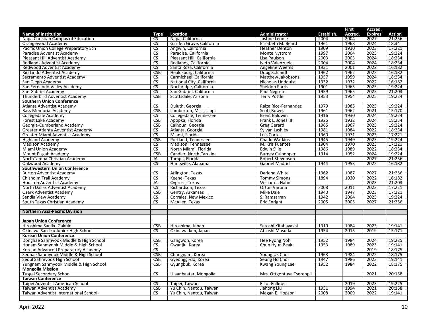|                                                      |                                     |                           |                           |              | <b>First</b> | Accred.        |               |
|------------------------------------------------------|-------------------------------------|---------------------------|---------------------------|--------------|--------------|----------------|---------------|
| <b>Name of Institution</b>                           | Type                                | <b>Location</b>           | <b>Administrator</b>      | Establish.   | Accred.      | <b>Expires</b> | <b>Action</b> |
| Napa Christian Campus of Education                   | CS                                  | Napa, California          | Justine Leonie            | 2004         | 2004         | 2027           | 21:256        |
| Orangewood Academy                                   | $\overline{\text{CS}}$              | Garden Grove, California  | Elizabeth M. Beard        | 1961         | 1968         | 2024           | 18:34         |
| Pacific Union College Preparatory Sch                | $\overline{\text{cs}}$              | Angwin, California        | <b>Heather Denton</b>     | 1909         | 1930         | 2023           | 17:221        |
| Paradise Adventist Academy                           | CS                                  | Paradise, California      | Monte Nystrom             | 1997         | 2004         | 2025           | 19:224        |
| Pleasant Hill Adventist Academy                      | $\overline{\text{CS}}$              | Pleasant Hill, California | Lisa Paulson              | 2003         | 2003         | 2024           | 18:234        |
| Redlands Adventist Academy                           | $\overline{\text{cs}}$              | Redlands, California      | Iveth Valenzuela          | 2004         | 2004         | 2024           | 18:234        |
| Redwood Adventist Academy                            | $\overline{\text{CS}}$              | Santa Rosa, California    | Angeline Weems            | 1931         | 2001         | 2022           | 16:182        |
| Rio Lindo Adventist Academy                          | CSB                                 | Healdsburg, California    | Doug Schmidt              | 1962         | 1962         | 2022           | 16:182        |
| Sacramento Adventist Academy                         | <b>CS</b>                           | Carmichael, California    | Matthew Jakobsons         | 1957         | 1959         | 2024           | 18:234        |
| San Diego Academy                                    | $\overline{\text{cs}}$              | National City, California | Nicholas Lindquist        | 1932         | 1932         | 2022           | 16:182        |
| San Fernando Valley Academy                          | $\overline{\text{CS}}$              | Northridge, California    | <b>Sheldon Parris</b>     | 1901         | 1963         | 2025           | 19:224        |
| San Gabriel Academy                                  | $\overline{\text{CS}}$              | San Gabriel, California   | Paul Negrete              | 1959         | 1965         | 2025           | 21:203        |
| Thunderbird Adventist Academy                        | CSB                                 | Scottsdale, Arizona       | <b>Terry Pottle</b>       | 1953         | 1954         | 2025           | 19:224        |
| <b>Southern Union Conference</b>                     |                                     |                           |                           |              |              |                |               |
| Atlanta Adventist Academy                            | $\overline{\text{CS}}$              | Duluth, Georgia           | Raiza Rios-Fernandez      | 1979         | 1985         | 2025           | 19:224        |
| <b>Bass Memorial Academy</b>                         | CSB                                 | Lumberton, Mississippi    | <b>Scott Bowes</b>        | 1961         | 1962         | 2021           | 15:170        |
| <b>Collegedale Academy</b>                           | CS                                  | Collegedale, Tennessee    | <b>Brent Baldwin</b>      | 1916         | 1930         | 2024           | 19:224        |
| Forest Lake Academy                                  | CSB                                 | Apopka, Florida           | Frank L. Jones III        | 1926         | 1932         | 2024           | 18:234        |
| Georgia-Cumberland Academy                           | CSB                                 | Calhoun, Georgia          | <b>Greg Gerard</b>        | 1965         | 1967         | 2025           | 19:224        |
| Greater Atlanta Adventist Academy                    | CS                                  | Atlanta, Georgia          | Sylvan Lashley            | 1981         | 1984         | 2022           | 18:234        |
| Greater Miami Adventist Academy                      | $\overline{\text{CS}}$              | Miami, Florida            | Luis Cortes               | 1960         | 1971         | 2023           | 17:221        |
| <b>Highland Academy</b>                              | CSB                                 | Portland, Tennessee       | <b>Chadd Watkins</b>      | 1945         | 1949         | 2025           | 19:224        |
| <b>Madison Academy</b>                               | <b>CS</b>                           | Madison, Tennessee        | M. Kris Fuentes           | 1904         | 1970         | 2023           | 17:221        |
| Miami Union Academy                                  | $\overline{\text{CS}}$              | North Miami, Florida      | <b>Edwin Silie</b>        | 1986         | 1989         | 2022           | 18:234        |
| Mount Pisgah Academy                                 | <b>CSB</b>                          | Candler, North Carolina   | <b>Burney Culpepper</b>   | 1914         | 1952         | 2024           | 19:224        |
| NorthTampa Christian Academy                         | JA                                  | Tampa, Florida            | <b>Robert Stevenson</b>   |              |              | 2027           | 21:256        |
| Oakwood Academy                                      | $\overline{\text{cs}}$              | Huntsville, Alabama       | Gabriel Madrid            | 1944         | 1953         | 2022           | 16:182        |
| <b>Southwestern Union Conference</b>                 |                                     |                           |                           |              | 1987         |                |               |
| <b>Burton Adventist Academy</b>                      | CS                                  | Arlington, Texas          | Darlene White             | 1962         |              | 2027           | 21:256        |
| Chisholm Trail Academy                               | $\overline{\text{cs}}$              | Keene. Texas              | <b>Tommy Simons</b>       | 1894         | 1930         | 2022           | 16:182        |
| <b>Houston Adventist Academy</b>                     | JA                                  | Cypress, Texas            | William J. Hahn           |              |              | 2023           | 21:203        |
| North Dallas Adventist Academy                       | <b>CS</b>                           | Richardson, Texas         | Orton Varona              | 2008         | 2011         | 2023           | 17:221        |
| <b>Ozark Adventist Academy</b>                       | CSB                                 | Gentry, Arkansas          | <b>Mike Dale</b>          | 1940<br>1942 | 1947<br>2004 | 2023           | 17:221        |
| Sandia View Academy<br>South Texas Christian Academy | <b>CS</b><br>$\overline{\text{cs}}$ | Corrales, New Mexico      | S. Ramsarran              |              | 2005         | 2025           | 19:224        |
|                                                      |                                     | McAllen, Texas            | <b>Eric Enright</b>       | 2005         |              | 2027           | 21:256        |
| <b>Northern Asia-Pacific Division</b>                |                                     |                           |                           |              |              |                |               |
|                                                      |                                     |                           |                           |              |              |                |               |
| <b>Japan Union Conference</b>                        |                                     |                           |                           |              |              |                |               |
| Hiroshima Saniku Gakuin                              | <b>CSB</b>                          | Hiroshima, Japan          | Satoshi Kitabayashi       | 1919         | 1984         | 2023           | 19:141        |
| Okinawa San-Iku Junior High School                   | CS.                                 | Okinawa-ken, Japan        | Atsushi Masuda            | 1954         | 2015         | 2019           | 15:171        |
| <b>Korean Union Conference</b>                       |                                     |                           |                           |              |              |                |               |
| Donghae Sahmyook Middle & High School                | CSB                                 | Gangwon, Korea            | Hee Ryong Noh             | 1952         | 1984         | 2024           | 19:225        |
| Honam Sahmyook Middle & High School                  | $\overline{\text{CS}}$              | Gwanjiu, Korea            | Chun Hyun Beak            | 1953         | 1989         | 2023           | 19:141        |
| Korean Advanced Preparatory Academy                  | $\overline{\text{CS}}$              |                           |                           |              |              | 2019           | 18:175        |
| Seohae Sahmyook Middle & High School                 | CSB                                 | Chungnam, Korea           | Young Uk Cho              | 1963         | 1984         | 2022           | 18:175        |
| Seoul Sahmyook High School                           | <b>CSB</b>                          | Gyeonggi-do, Korea        | Seung Ho Choi             | 1947         | 1986         | 2023           | 19:141        |
| Yungnam Sahmyook Middle & High School                | <b>CSB</b>                          | Gyungbuk, Korea           | Kwang Young Lee           | 1952         | 1984         | 2022           | 18:175        |
| <b>Mongolia Mission</b>                              |                                     |                           |                           |              |              |                |               |
| <b>Tusgal Secondary School</b>                       | $\overline{\text{CS}}$              | Ulaanbaatar, Mongolia     | Mrs. Ottgontuya Tserenpil |              |              | 2021           | 20:158        |
| <b>Taiwan Conference</b>                             |                                     |                           |                           |              |              |                |               |
| Taipei Adventist American School                     | <b>CS</b>                           | Taipei, Taiwan            | <b>Elliot Fullmer</b>     |              | 2019         | 2023           | 19:225        |
| Taiwan Adventist Academy                             | <b>CSB</b>                          | Yu Chih, Nantou, Taiwan   | Jiahong Liu               | 1951         | 1994         | 2021           | 20:158        |
| Taiwan Adventist International School-               | <b>CS</b>                           | Yu Chih, Nantou, Taiwan   | Megan E. Hopson           | 2008         | 2009         | 2022           | 19:141        |
|                                                      |                                     |                           |                           |              |              |                |               |
|                                                      |                                     |                           |                           |              |              |                |               |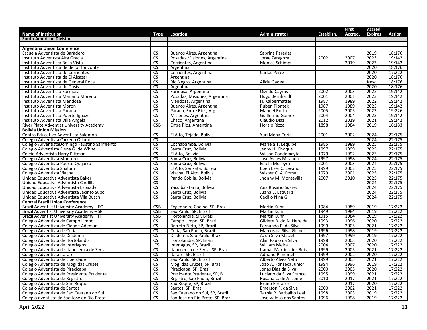|                                                                               |                          |                                                        |                          |            | <b>First</b> | Accred.        |        |
|-------------------------------------------------------------------------------|--------------------------|--------------------------------------------------------|--------------------------|------------|--------------|----------------|--------|
| <b>Name of Institution</b>                                                    | Type                     | Location                                               | <b>Administrator</b>     | Establish. | Accred.      | <b>Expires</b> | Action |
| <b>South American Division</b>                                                |                          |                                                        |                          |            |              |                |        |
| <b>Argentina Union Conference</b>                                             |                          |                                                        |                          |            |              |                |        |
| Escuela Adventista de Baradero                                                | <b>CS</b>                |                                                        | Sabrina Paredes          |            |              | 2019           | 18:176 |
| Instituto Adventsta Alta Gracia                                               | CS                       | Buenos Aires, Argentina<br>Posadas Misiones, Argentina | Jorge Zaragoza           | 2002       | 2007         | 2023           | 19:142 |
| Instituto Adventista Bella Vista                                              | $\overline{\text{cs}}$   | Corrientes, Argentina                                  | Monica Schimpf           |            | 2019         | 2023           | 19:142 |
|                                                                               | $\overline{\text{cs}}$   |                                                        |                          |            |              | 2020           | 18:176 |
| Instituto Adventista de Bello Horizonte<br>Instituto Adventista de Corrientes | $\overline{\text{cs}}$   | Argentina<br>Corrientes, Argentina                     | Carlos Perez             |            |              | 2020           | 17:222 |
|                                                                               | CS                       |                                                        |                          |            |              |                |        |
| Instituto Adventista de El Alcazar                                            |                          | Argentina                                              |                          |            |              | 2020           | 18:176 |
| Instituto Adventista de General Roca                                          | CS                       | Rio Negro, Argentina                                   | Alicia Gadea             |            |              | New            | 18:176 |
| Instituto Adventista de Oasis                                                 | $\overline{\mathsf{CS}}$ | Argentina                                              |                          |            |              | 2020           | 18:176 |
| Instituto Adventista Formosa                                                  | $\overline{\text{cs}}$   | Formosa, Argentina                                     | Osvido Cayrus            | 2002       | 2003         | 2022           | 19:142 |
| Instituto Adventista Mariano Moreno                                           | $\overline{\text{cs}}$   | Posadas, Misiones, Argentina                           | Hugo Bernhardt           | 2001       | 2001         | 2023           | 19:142 |
| Instituto Adventista Mendoza                                                  | <b>CS</b>                | Mendoza, Argentina                                     | H. Kalbermatter          | 1987       | 1989         | 2022           | 19:142 |
| Instituto Adventista Moron                                                    | <b>CS</b>                | Buenos Aires, Argentina                                | <b>Ruben Piontek</b>     | 1987       | 1989         | 2023           | 19:142 |
| Instituto Adventista Parana                                                   | $\overline{\text{CS}}$   | Parana, Entre Rios, Arg                                | Manuel Rotta             | 2005       | 2005         | 2023           | 19:226 |
| Instituto Adventista Puerto Iguazu                                            | CS                       | Misiones, Argentina                                    | Guillermo Gomez          | 2004       | 2004         | 2023           | 19:142 |
| Instituto Adventista Villa Angela                                             | $\overline{\text{cs}}$   | Chaco, Argentina                                       | Claudio Diaz             | 2012       | 2019         | 2021           | 19:142 |
| River Plate Adventist University Academy                                      | CSB                      | Entre Rios, Argentina                                  | Horaio Rizzo             | 1898       | 1984         | 2019           | 16:183 |
| <b>Bolivia Union Mission</b>                                                  |                          |                                                        |                          |            |              |                |        |
| Centro Educativo Adventista Salomon                                           | CS                       | El Alto, Tejada, Bolivia                               | Yuri Mena Coria          | 2001       | 2002         | 2024           | 22:175 |
| Colegio Adventista Carreno Ortuno                                             | $\overline{\text{cs}}$   |                                                        |                          |            |              | 2024           | 22:175 |
| Colegio AdventistaDomingo Faustino Sarmiento                                  | <b>CS</b>                | Cochabamba, Bolivia                                    | Mariela T. Lequipe       | 1985       | 1989         | 2025           | 22:175 |
| Colegio Adventista Elena G. de White                                          | CS                       | Santa Cruz, Bolivia                                    | Jenny H. Choque          | 1997       | 1999         | 2025           | 22:175 |
| Coleio Adventista Harry Pittman                                               | $\overline{\mathsf{CS}}$ | El Alto, Bolivia                                       | Wilson Condemayta        | 1979       | 1992         | 2025           | 22:175 |
| Colegio Adventista Montero                                                    | $\overline{\text{cs}}$   | Santa Cruz, Bolivia                                    | Jose Aviles Miranda      | 1997       | 1998         | 2024           | 22:175 |
| Colegio Adventista Puerto Quijarro                                            | $\overline{\text{CS}}$   | Santa Cruz, Bolivia                                    | Estela Moreyra           | 2001       | 2003         | 2024           | 22:175 |
| Colegio Adventista Shalom                                                     | CS                       | El Alto, Senkata, Bolivia                              | Eben Ezer C. Levano      | 1999       | 2002         | 2025           | 22:175 |
| Colegio Adventista Viacha                                                     | $\overline{\text{cs}}$   | Viacha, El Alto, Bolivia                               | Wisner C. A. Poma        | 1979       | 2001         | 2025           | 22:175 |
| Unidad Educativa Adventista Baker                                             | $\overline{\text{cs}}$   | Pando Cobija, Bolivia                                  | Jhonny M. Montevilla     | 2007       | 2010         | 2025           | 22:175 |
| Unidad Educativa Adventista Chullllla                                         | <b>CS</b>                |                                                        |                          |            |              | 2024           | 22:175 |
| Unidad Educativa Adventista Espaady                                           | CS                       | Yacuiba - Tarija, Bolivia                              | Ana Rosario Suarez       |            |              | 2024           | 22:175 |
| Unidad Educativa Adventista Jacinto Supo                                      | $\overline{\text{cs}}$   | Santa Cruz, Bolivia                                    | Juana E. Estivariz       |            |              | 2024           | 22:175 |
| Unidad Educativa Adventista VIIa Busch                                        | <b>CS</b>                | Santa Cruz, Bolivia                                    | Cecilio Nina G.          |            |              | 2024           | 22:175 |
| <b>Central Brazil Union Conference</b>                                        |                          |                                                        |                          |            |              |                |        |
| Brazil Adventist University Academy - EC                                      | CSB                      | Engenheiro Coelho, SP, Brazil                          | Martin Kuhn              | 1984       | 1989         | 2019           | 17:222 |
| Brazil Adventist University Academy - SP                                      | <b>CSB</b>               | Sao Paulo, SP, Brazil                                  | Martin Kuhn              | 1949       | 1984         | 2019           | 17:222 |
| Brazil Adventist University Academy - HT                                      | CSB                      | Hortolandia, SP, Brazil                                | Martin Kuhn              | 1915       | 1984         | 2019           | 17:222 |
| Colegio Adventista de Campo Limpo                                             | $\overline{\text{cs}}$   | Campo Limpo, SP, Brazil                                | Gildete B. do N. Hereida | 1993       | 1996         | 2020           | 17:222 |
| Colegio Adventista de Cidade Ademar                                           | CS                       | Barreto Neto, SP, Brazil                               | Fernando P. da Silva     | 1999       | 2005         | 2021           | 17:222 |
| Colegio Adventista de Cotia                                                   | <b>CS</b>                | Cotia, Sao Paulo, Brazil                               | Marcos da Silva Gomes    | 1996       | 1998         | 2019           | 17:222 |
| Colegio Adventista de Diadema                                                 | $\overline{\text{cs}}$   | Diadema, Sao Paulo, Brazil                             | A. da Silva Maciel       | 1997       | 1999         | 2019           | 17:222 |
| Colegio Adventista de Hortolandia                                             | CS                       | Hortolandia, SP, Brazil                                | Alan Paulo da Silva      | 1998       | 2003         | 2020           | 17:222 |
| Colegio Adventista de Interlagos                                              | $\overline{\text{cs}}$   | Interlagos, SP, Brazil                                 | William Meira            | 2004       | 2007         | 2020           | 17:222 |
| Colegio Adventista de Itapecerica de Serra                                    | $\overline{\text{cs}}$   | Itapecerica de Serra, SP, Brazil                       | Itamar Martins dos Reis  | 1999       | 2005         | 2021           | 17:222 |
| Colegio Adventista Itarare                                                    | $\overline{\mathsf{CS}}$ | Itarare, SP, Brazil                                    | <b>Adriano Pimentel</b>  | 1999       | 2002         | 2020           | 17:222 |
| Colegio Adventista de Liberdade                                               | $\overline{\text{cs}}$   | Sao Paulo, SP, Brazil                                  | Alberto Alves Neto       | 1999       | 2005         | 2021           | 17:222 |
| Colegio Adventista de Mogi das Cruzes                                         | CS                       | Mogi das Cruzes, SP, Brazil                            | Joao A. Fonseca Junior   | 1994       | 1996         | 2019           | 17:222 |
| Colegio Adventista de Piracicaba                                              | $\overline{\text{cs}}$   | Piracicaba, SP, Brazil                                 | Jonas Dias da Silva      | 2000       | 2005         | 2020           | 17:222 |
| Colegio Adventista de Presidente Prudente                                     | $\overline{\text{cs}}$   | Presidente Prudente, SP, B                             | Luciano da Silva Franco  | 1995       | 1999         | 2021           | 17:222 |
| Colegio Adventista de Registro                                                | $\overline{\text{CS}}$   | Registro, Sao Paulo, Brazil                            | Rosana C. de A. Leme     | 2010       | 2017         | 2021           | 17:222 |
| Colegio Adventista de San Roque                                               | $\overline{\text{CS}}$   | Sao Roque, SP, Brazil                                  | Bruno Ferrarezi          | $\sim$     | 2017         | 2020           | 17:222 |
| Colegio Adventista de Santos                                                  | $\overline{\text{CS}}$   | Santos, SP, Brazil                                     | Emerson F. da Silva      | 2000       | 2002         | 2021           | 17:222 |
| Colegio Adventista de Sao Caetano do Sul                                      | $\overline{\text{cs}}$   | Sao Caetano do Sul, SP, Brazil                         | Terbia P. Barbalho Leal  | 1998       | 2003         | 2019           | 17:222 |
| Colegio dventista de Sao Jose do Rio Preto                                    | $\overline{\text{cs}}$   | Sao Jose do Rio Preto, SP, Brazil                      | Jose Veloso dos Santos   | 1996       | 1998         | 2019           | 17:222 |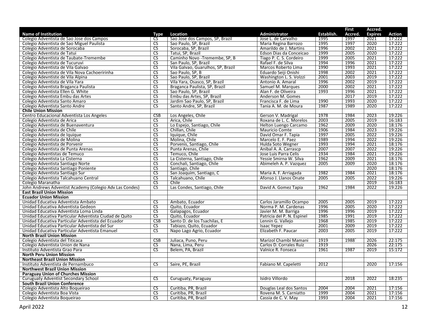|                                                         |                        |                                    |                            |            | <b>First</b> | Accred.        |               |
|---------------------------------------------------------|------------------------|------------------------------------|----------------------------|------------|--------------|----------------|---------------|
| <b>Name of Institution</b>                              | Type                   | Location                           | Administrator              | Establish. | Accred.      | <b>Expires</b> | <b>Action</b> |
| Colegio Adventista de Sao Jose dos Campos               | CS                     | Sao Jose dos Campos, SP, Brazil    | Jose L. de Carvalho        | 1995       | 1997         | 2021           | 17:222        |
| Colegio Adventista de Sao Miguel Paulista               | $\overline{\text{CS}}$ | Sao Paulo, SP, Brazil              | Maria Regina Barrozo       | 1995       | 1997         | 2020           | 17:222        |
| Colegio Adventista de Sorocaba                          | $\overline{\text{cs}}$ | Sorocaba, SP, Brazil               | Amarildo de J. Martins     | 1996       | 2002         | 2021           | 17:222        |
| Colegio Adventista de Tatui                             | <b>CS</b>              | Tatui, SP, Brazil                  | Edson Dias da Conceicao    | 1999       | 2005         | 2020           | 17:222        |
| Colegio Adventista de Taubate-Tremembe                  | $\overline{\text{CS}}$ | Caminho Novo - Tremembe, SP, B     | Tiago P. C. S. Cordeiro    | 1999       | 2005         | 2021           | 17:222        |
| Colegio Adventista de Tucuruvi                          | CS                     | San Paulo, SP, Brazil              | Rafael F. de Silva         | 1994       | 1996         | 2021           | 17:222        |
| Colegio Adventista de Vila Galvao                       | <b>CS</b>              | Vila Galvao, Guarulhos, SP, Brazil | Marcos Roberto Lima        | 1990       | 1993         | 2021           | 17:222        |
| Colegio Adventista de Vila Nova Cachoeririnha           | $\overline{\text{CS}}$ | Sao Paulo, SP, B                   | Eduardo Seiji Onishi       | 1998       | 2002         | 2021           | 17:222        |
| Colegio Adevntiste de Vila Alpina                       | $\overline{\text{CS}}$ | Sao Paulo, SP, Brazil              | Washington L. S. Volzzi    | 2001       | 2003         | 2019           | 17:222        |
| Colegio Adventista de Vila Yara                         | $\overline{\text{CS}}$ | Vila Yara, Osasco, SP, Brazil      | Antonio A. Amaral          | 1996       | 2002         | 2019           | 17:222        |
| Colegio Adventista Braganca Paulista                    | <b>CS</b>              | Braganca Paulista, SP, Brazil      | Samuel M. Marques          | 2000       | 2002         | 2021           | 17:222        |
| Colegio Adventista Ellen G. White                       | $\overline{\text{CS}}$ | Sao Paulo, SP, Brazil              | Alan F. de Oliveira        | 1993       | 1996         | 2021           | 17:222        |
| Colegio Adventista Embu das Artes                       | $\overline{\text{CS}}$ | Embu das Artes, SP, Brazil         | Anderson M. Gomes          |            | 2017         | 2019           | 17:222        |
| Colegio Adventista Santo Amaro                          | $\overline{\text{CS}}$ | Jardim Sao Paulo, SP, Brazil       | Francisca F. de Lima       | 1990       | 1993         | 2020           | 17:222        |
| Colegio Adventista Santo Andre                          | $\overline{\text{CS}}$ | Santo Andre, SP, Brazil            | Tania A. M. de Moura       | 1987       | 1989         | 2020           | 17:222        |
| <b>Chile Union Mission</b>                              |                        |                                    |                            |            |              |                |               |
| Centro Educacional Adventista Los Angeles               | CSB                    | Los Angeles, Chile                 | Gerson V. Madrigal         | 1978       | 1984         | 2023           | 19:226        |
| Colegio Adventista de Arica                             | CS                     | Arica, Chile                       | Roxana de L. C. Morelos    | 2003       | 2005         | 2019           | 16:183        |
| Colegio Adventista de Buenaventura                      | $\overline{\text{cs}}$ | Lo Espejo, Santiago, Chile         | Helton Luengo Carcamo      | 1962       | 2009         | 2020           | 18:176        |
| Colegio Adventista de Chile                             | $\overline{\text{CS}}$ | Chillan, Chile                     | <b>Mauricio Comte</b>      | 1906       | 1984         | 2023           | 19:226        |
| Colegio Adventista de Iquique                           | $\overline{\text{CS}}$ | Iquique, Chile                     | David Omar F. Tapia        | 1997       | 2005         | 2022           | 19:226        |
| Colegio Adventista de Molina                            | $\overline{\text{CS}}$ | Molina, Chile                      | Marcelo E. F. Paez         | 1989       | 1994         | 2022           | 19:226        |
| Colegio Adventista de Porvenir                          | $\overline{\text{CS}}$ | Porvenis, Santiago, Chile          | Hulda Soto Wegner          | 1993       | 1994         | 2021           | 18:176        |
| Colegio Adventista de Punta Arenas                      | <b>CS</b>              | Punta Arenas, Chile                | Anibal A. A. Carrascp      | 2007       | 2007         | 2022           | 19:226        |
| Colegio Adventistas de Temuco                           | $\overline{\text{CS}}$ | Temuco, Chile                      | Jose Luis Parra Celis      | 1934       | 1984         | 2021           | 19:226        |
| Colegio Adventista La Cisterna                          | $\overline{\text{CS}}$ | La Cisterna, Santiago, Chile       | Yessie Smirna W. Silva     | 1962       | 2009         | 2021           | 18:176        |
| Colegio Adventista Santiago Norte                       | $\overline{\text{CS}}$ | Conchali, Santiago, Chile          | Abimeleh A. P. Vazquez     | 2005       | 2009         | 2020           | 18:176        |
| Colegio Adventista Santiago Poniente                    | $\overline{\text{CS}}$ | Santiago, Chile                    |                            |            |              | 2020           | 18:176        |
| Colegio Adventista Santiago Sur                         | $\overline{\text{cs}}$ | San Joaquim, Santiago, C           | Maria A. F. Arriagada      | 1982       | 1984         | 2021           | 18:176        |
| Colegio Adventista Talcahuano Central                   | $\overline{\text{CS}}$ | Talcahuano, Chile                  | Afonso J. Llanos Onate     | 2005       | 2005         | 2022           | 19:226        |
| Colegio Maranatha                                       | $\overline{\text{CS}}$ | Chile                              |                            |            |              | 2019           | 16:183        |
| John Andrews Adventist Academy (Colegio Adv Las Condes) | <b>CS</b>              | Las Condes, Santiago, Chile        | David A. Gomez Tapia       | 1962       | 1984         | 2022           | 19:226        |
| <b>East Brazil Union Mission</b>                        |                        |                                    |                            |            |              |                |               |
| <b>Ecuador Union Mission</b>                            |                        |                                    |                            |            |              |                |               |
| Unidad Educativa Adventista Ambato                      | <b>CS</b>              | Ambato, Ecuador                    | Carlos Jaramillo Ocampo    | 2005       | 2005         | 2019           | 17:222        |
| Unidad Educativa Adventista Gedeon                      | <b>CS</b>              | Quito, Ecuador                     | Norma P. M. Cardenas       | 1996       | 2005         | 2020           | 17:222        |
| Unidad Educativa Adventista Loma Linda                  | $\overline{\text{CS}}$ | Galapagos, Ecuador                 | Javier M. M. Barriga       | 1996       | 1996         | 2019           | 17:222        |
| Unidad Educativa Particular Adventista Ciudad de Quito  | $\overline{\text{CS}}$ | Quito, Ecuador                     | Patricia del P. N. Espinel | 1985       | 1991         | 2019           | 17:222        |
| Unidad Educativa Particular Adventista del Ecuador      | <b>CSB</b>             | Santo D. de los Tsachilas, E       | Lennin G. Vallejo          | 1968       | 1985         | 2019           | 17:222        |
| Unidad Educativa Particular Adventista del Sur          | <b>CS</b>              | Tabiazo, Quito, Ecuador            | <b>Isaac Yepez</b>         | 2001       | 2009         | 2019           | 17:222        |
| Unidad Educativa Particular Adventista Emanuel          | $\overline{\text{CS}}$ | Napo Lago Agrio, Ecuador           | Elizabeth F. Paucar        | 2003       | 2005         | 2019           | 17:222        |
| <b>North Brazil Union Mission</b>                       |                        |                                    |                            |            |              |                |               |
| Colegio Adventista del Titicaca                         | <b>CSB</b>             | Juliaca, Puno, Peru                | Marizol Chambi Mamani      | 1919       | 1988         | 2026           | 22:175        |
| Colegio Adventista Union de Nana                        | <b>CS</b>              | Nana, Lima, Peru                   | Carlos D. Corrales Ruiz    | 1919       |              | 2026           | 22:175        |
| Instituto Adventista Grao Para                          | $\overline{\text{cs}}$ | Belem, PA, Brazil                  | Valnice R. Fonseca         | 1961       | 1987         | 2019           | 15:172        |
| <b>North Peru Union Mission</b>                         |                        |                                    |                            |            |              |                |               |
| <b>Northeast Brazil Union Mission</b>                   |                        |                                    |                            |            |              |                |               |
| Instituto Adventista de Pernambuco                      | CS.                    | Saire, PE, Brazil                  | Fabiano M. Capeletti       | 2012       |              | 2020           | 17:156        |
| <b>Northwest Brazil Union Mission</b>                   |                        |                                    |                            |            |              |                |               |
| <b>Paraguay Union of Churches Mission</b>               |                        |                                    |                            |            |              |                |               |
| <b>Curuguaty Adventist Secondary School</b>             | <b>CS</b>              | Curuguaty, Paraguay                | Isidro Villordo            |            | 2018         | 2022           | 18:235        |
| <b>South Brazil Union Conference</b>                    |                        |                                    |                            |            |              |                |               |
| Colegio Adventista Alto Boqueirao                       | <b>CS</b>              | Curitiba, PR, Brazil               | Douglas Leal dos Santos    | 2004       | 2004         | 2021           | 17:156        |
|                                                         | $\overline{\text{CS}}$ | Curitiba, PR, Brazil               | Rovena M. S. Carniatto     | 1999       | 2004         | 2021           | 17:156        |
| Colegio Adventista Boa Vista                            | $\overline{\text{CS}}$ |                                    |                            | 1993       | 2004         | 2021           | 17:156        |
| Colegio Adventista Boqueirao                            |                        | Curitiba, PR, Brazil               | Cassia de C.V. May         |            |              |                |               |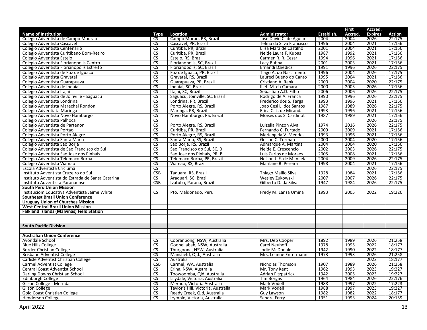|                                                   |                        |                                    |                           |            | <b>First</b> | Accred.        |        |
|---------------------------------------------------|------------------------|------------------------------------|---------------------------|------------|--------------|----------------|--------|
| <b>Name of Institution</b>                        | Type                   | Location                           | Administrator             | Establish. | Accred       | <b>Expires</b> | Action |
| Colegio Adventista de Campo Mourao                | CS.                    | Campo Morao, PR, Brazil            | Jose David C. de Aguiar   | 2004       | 2004         | 2026           | 22:175 |
| Colegio Adventista Cascavel                       | $\overline{\text{CS}}$ | Cascavel, PR, Brazil               | Telma da Silva Francisco  | 1996       | 2004         | 2021           | 17:156 |
| Colegio Adventista Centenario                     | $\overline{\text{cs}}$ | Curitiba, PR, Brazil               | Elisa Mara de Castilho    | 2001       | 2004         | 2021           | 17:156 |
| Colegio Adventista Curitibano Bom-Retiro          | <b>CS</b>              | Curitiba, PR, Brazil               | Neide Laura F. Kupas      | 1987       | 1992         | 2021           | 17:156 |
| Colegio Adventista Esteio                         | $\overline{\text{CS}}$ | Esteio, RS, Brazil                 | Carmen R. R. Cesar        | 1994       | 1996         | 2021           | 17:156 |
| Colegio Adventista Florianopolis Centro           | $\overline{\text{cs}}$ | Florianopolis, SC, Brazil          | Lacy Bubna                | 2001       | 2003         | 2021           | 17:156 |
| Colegio Adventista Florianopolis Estreito         | <b>CS</b>              | Florianopolis, SC, Brazil          | Ernandi Dziedicz          | 1991       | 1996         | 2026           | 22:175 |
| Colegio Adventista de Foz de Iguacu               | $\overline{\text{CS}}$ | Foz de Iguacu, PR, Brazil          | Tiago A. do Nascimento    | 1996       | 2004         | 2026           | 17:175 |
| Colegio Adventista Gravatai                       | CS                     | Gravatai, RS, Brazil               | Laureci Bueno do Canto    | 1995       | 2004         | 2021           | 17:156 |
| Colegio Adventista Guarapuava                     | CS                     | Guarapuava, PR, Brazil             | Cristiano A. Rank         | 2000       | 2004         | 2020           | 22:175 |
| Colegio Adventista de Indaial                     | <b>CS</b>              | Indaial, SC, Brazil                | Ilieti M. da Camara       | 2000       | 2003         | 2026           | 17:156 |
| Colegio Adventista Itajai                         | $\overline{\text{CS}}$ | Itajai, SC, Brazil                 | Sebastiao A.D. Filho      | 2006       | 2006         | 2026           | 22:175 |
| Colegio Adventista de Joinville - Saguacu         | $\overline{\text{CS}}$ | Saguacu, Joinville, SC, Brazil     | Rodrigo de A. Franca      | 1990       | 1996         | 2026           | 22:175 |
| Colegio Adventista Londrina                       | <b>CS</b>              | Londrina, PR, Brazil               | Frederico dos S. Targa    | 1993       | 1996         | 2021           | 17:156 |
| Colegio Adventista Marechal Rondon                | $\overline{\text{cs}}$ | Porto Alegre, RS, Brazil           | Joao Cesi L. dos Santos   | 1987       | 1989         | 2026           | 22:175 |
| Colegio Adventiata Maringa                        | $\overline{\text{CS}}$ | Maringa, PR, Brazil                | Erica C. L. de Miranda    | 1993       | 1996         | 2021           | 17:156 |
| Colegio Adventista Novo Hamburgo                  | $\overline{\text{CS}}$ | Novo Hamburgo, RS, Brazil          | Moises dos S. Cardinot    | 1987       | 1989         | 2021           | 17:156 |
| Colegio Adventista Palhoca                        | $\overline{\text{CS}}$ |                                    |                           |            |              | 2026           | 22:175 |
| Colegio Adventista de Partenon                    | $\overline{\text{cs}}$ | Porto Alegre, RS, Brazil           | Luizelia Pinzon Alva      | 1974       | 2016         | 2026           | 22:175 |
| Colegio Adventista Portao                         | $\overline{\text{CS}}$ | Curitiba, PR, Brazil               | Fernando C. Furtado       | 2009       | 2009         | 2021           | 17:156 |
| Colegio Adventista Porto Alegre                   | $\overline{\text{CS}}$ | Porto Alegre, RS, Brazil           | Mariangela V. Mendes      | 1993       | 1996         | 2021           | 17:156 |
| Colegio Adventista Santa Maria                    | $\overline{\text{CS}}$ | Santa Maria, RS, Brazil            | Gelson C. Torman          | 2000       | 2004         | 2020           | 17:156 |
| Colegio Adventista Sao Borja                      | $\overline{\text{CS}}$ | Sao Borja, RS, Brazil              | Admarque A. Martins       | 2004       | 2004         | 2020           | 17:156 |
| Colegio Adventista de Sao Francisco do Sul        | $\overline{\text{CS}}$ | Sao Francisco do Sul, SC, B        | Neide E. Crescencio       | 2002       | 2003         | 2026           | 22:175 |
| Colegio Adventista Sao Jose dos Pinhais           | $\overline{\text{CS}}$ | Sao Jose dos Pinhais, PR, B        | Luis Carlos de Moraes     | 2005       | 2008         | 2021           | 17:156 |
| Colegio Adventista Telemaco Borba                 | $\overline{\text{CS}}$ | Telemaco Borba, PR, Brazil         | Nelson J. F. de M. Vilela | 2004       | 2009         | 2026           | 22:175 |
| Colegio Adventista Viamao                         | <b>CS</b>              | Viamao, RS, Brazil                 | Marilane B. Pereira       | 1998       | 2004         | 2021           | 17:156 |
| Escola Adventista Criciuma                        | $\overline{\text{CS}}$ |                                    |                           |            |              | 2026           | 22:175 |
| Instituto Adventista Cruzeiro do Sul              | CSB                    | Taquara, RS, Brazil                | Thiago Maillo Silva       | 1928       | 1984         | 2021           | 17:156 |
| Instituto Adventista do Estrada de Santa Catarina | $\overline{\text{cs}}$ | Araguari, SC, Brazil               | Wesley Zukowski           | 2007       | 2007         | 2026           | 22:175 |
| Instituto Adventista Paranaense                   | CSB                    | Ivatuba, Parana, Brazil            | Gilberto D. da Silva      | 1947       | 1984         | 2026           | 22:175 |
| <b>South Peru Union Mission</b>                   |                        |                                    |                           |            |              |                |        |
| Instituciom Educativa Adventista Jaime White      | $\overline{\text{CS}}$ | Pto. Maldonado, Peru               | Fredy M. Lanza Umina      | 1993       | 2005         | 2022           | 19:226 |
| <b>Southeast Brazil Union Conference</b>          |                        |                                    |                           |            |              |                |        |
| <b>Uruguay Union of Churches Mission</b>          |                        |                                    |                           |            |              |                |        |
| <b>West Central Brazil Union Mission</b>          |                        |                                    |                           |            |              |                |        |
| <b>Falkland Islands (Malvinas) Field Station</b>  |                        |                                    |                           |            |              |                |        |
|                                                   |                        |                                    |                           |            |              |                |        |
|                                                   |                        |                                    |                           |            |              |                |        |
| <b>South Pacific Division</b>                     |                        |                                    |                           |            |              |                |        |
|                                                   |                        |                                    |                           |            |              |                |        |
| <b>Australian Union Conference</b>                |                        |                                    |                           |            |              |                |        |
| Avondale School                                   | <b>CS</b>              | Cooranbong, NSW, Australia         | Mrs. Deb Cooper           | 1892       | 1989         | 2026           | 21:258 |
| <b>Blue Hills College</b>                         | <b>CS</b>              | Goonellabah, NSW, Australia        | Carel Neuhoff             | 1978       | 1995         | 2022           | 18:177 |
| <b>Border Christian College</b>                   | <b>CS</b>              | Thurgoona, NSW, Australia          | Jodie McDonald            | 1942       | 1990         | 2022           | 18:177 |
| <b>Brisbane Adventist College</b>                 | $\overline{\text{CS}}$ | Mansfield, Qld., Australia         | Mrs. Leanne Entermann     | 1973       | 1993         | 2026           | 21:258 |
| Carlisle Adventist Christian College              | $\overline{\text{CS}}$ | Australia                          |                           |            |              | 2022           | 18:177 |
| <b>Carmel Adventist College</b>                   | <b>CSB</b>             | Carmel, WA, Australia              | Nicholas Thomson          | 1907       | 1989         | 2026           | 21:258 |
| <b>Central Coast Adventist School</b>             | <b>CS</b>              | Erina, NSW, Australia              | Mr. Tony Kent             | 1962       | 1993         | 2023           | 19:227 |
| Darling Downs Christian School                    | $\overline{\text{CS}}$ | Toowoomba, Qld. Australia          | <b>Adrian Fitzpatrick</b> | 1942       | 2005         | 2023           | 19:227 |
| Edinburgh College                                 | $\overline{\text{CS}}$ | Lilydale, Victoria, Australia      | Tim Borgas                | 1964       | 1984         | 2026           | 22:176 |
| Gilson College - Mernda                           | <b>CS</b>              | Mernda, Victoria Australia         | Mark Vodell               | 1988       | 1997         | 2022           | 17:223 |
| <b>Gilson College</b>                             | $\overline{\text{cs}}$ | Taylor's Hill, Victoria, Australia | Mark Vodell               | 1988       | 1997         | 2023           | 19:227 |
| <b>Gold Coast Christian College</b>               | <b>CS</b>              | Reedy Creek, Qld, Australia        | <b>Guy Lawson</b>         | 1982       | 1982         | 2022           | 18:177 |
| <b>Henderson College</b>                          | $\overline{\text{CS}}$ | Irymple, Victoria, Australia       | Sandra Ferry              | 1951       | 1993         | 2024           | 20:159 |
|                                                   |                        |                                    |                           |            |              |                |        |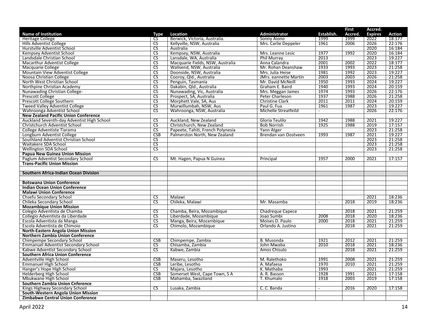|                                                                                |                        |                                   |                              |                | <b>First</b> | Accred.        |        |
|--------------------------------------------------------------------------------|------------------------|-----------------------------------|------------------------------|----------------|--------------|----------------|--------|
| <b>Name of Institution</b>                                                     | Type                   | Location                          | <b>Administrator</b>         | Establish.     | Accred.      | <b>Expires</b> | Action |
| <b>Heritage College</b>                                                        | CS.                    | Berwick, Victoria, Australia.     | Sonny Aiono                  | 1999           | 1999         | 2022           | 18:177 |
| <b>Hills Adventist College</b>                                                 | CS                     | Kellyville, NSW, Australia        | Mrs. Carlie Deppeler         | 1961           | 2006         | 2026           | 22:176 |
| Hurstville Adventist School                                                    | CS.                    | Australia                         |                              |                |              | 2020           | 16:184 |
| Kempsey Adventist School                                                       | $\overline{\text{CS}}$ | Kempsey, NSW, Australia           | Mrs. Leanne Lesic            | 1977           | 1992         | 2020           | 16:184 |
| Landsdale Christian School                                                     | $\overline{\text{CS}}$ | Lansdale, WA, Australia           | <b>Phil Murrav</b>           | 2013           |              | 2023           | 19:227 |
| Macarthur Adventist College                                                    | $\overline{\text{CS}}$ | Macquarie Fields, NSW, Australia  | Anna Calandra                | 2001           | 2002         | 2022           | 18:177 |
| Macquarie College                                                              | $\overline{\text{CS}}$ | Wallsend, NSW, Australia          | Mr. Rohan Deanshaw           | 1933           | 1993         | 2023           | 21:258 |
| <b>Mountain View Adventist College</b>                                         | <b>CS</b>              | Doonside, NSW, Australia          | Mrs. Julia Heise             | 1981           | 1992         | 2023           | 19:227 |
| Noosa Christian College                                                        | $\overline{\text{CS}}$ | Cooroy, Qld., Australia           | <b>JMrs. eannette Martin</b> | 2003           | 2003         | 2026           | 21:258 |
| North West Christian School                                                    | CS                     | Penguin, Tasmania                 | Mr. David McNeill            | 1950           | 1993         | 2024           | 19:227 |
| Northpine Christian Academy                                                    | $\overline{\text{cs}}$ | Dakabin, Qld., Australia          | Graham E. Baird              | 1940           | 1993         | 2024           | 20:159 |
| Nunawading Christian College-                                                  | <b>CS</b>              | Nunawading, Vic, Australia        | Mrs. Meggan James            | 1974           | 1993         | 2026           | 22:176 |
| Prescott College                                                               | $\overline{\text{CS}}$ | Prospect, SA, Australia           | <b>Peter Charleson</b>       | 1937           | 1988         | 2026           | 21:258 |
| Prescott College Southern                                                      | $\overline{\text{CS}}$ | Morphett Vale, SA, Aus            | <b>Christine Clark</b>       | 2011           | 2011         | 2024           | 20:159 |
| <b>Tweed Valley Adventist College</b>                                          | $\overline{\text{CS}}$ | Murwillumbah, NSW, Aus            | Paul G. Fua                  | 1961           | 1987         | 2023           | 19:227 |
| Wahroonga Adventist School                                                     | <b>CS</b>              | Wahroonga, NSW, Australia         | Michelle Streatfeild         | $\sim$         |              | 2026           | 22:176 |
| <b>New Zealand Pacific Union Conference</b>                                    |                        |                                   |                              |                |              |                |        |
| Auckland Seventh-day Adventist High School                                     | $\overline{\text{CS}}$ | Auckland, New Zealand             | Gloria Teulilo               | 1942           | 1988         | 2021           | 19:227 |
| Christchurch Adventist School                                                  | $\overline{\text{cs}}$ | Christchurch, New Zealand         | <b>Bob Norrish</b>           | 1925           | 1988         | 2019           | 17:157 |
| College Adventiste Tiarama                                                     | <b>CS</b>              | Papeete, Tahiti, French Polynesia | Yann Atger                   |                |              | 2023           | 21:258 |
| Longburn Adventist College                                                     | CSB                    | Palmerston North, New Zealand     | Brendan van Oostveen         | 1993           | 1987         | 2021           | 19:227 |
| Southland Adventist Christian School                                           | $\overline{\text{CS}}$ |                                   |                              |                |              | 2023           | 21:258 |
| Waitakere SDA School                                                           | $\overline{\text{CS}}$ |                                   |                              |                |              | 2023           | 21:258 |
| <b>Wellington SDA School</b>                                                   | <b>CS</b>              |                                   |                              |                |              | 2023           | 21:258 |
|                                                                                |                        |                                   |                              |                |              |                |        |
| Papua New Guinea Union Mission<br>Paglum Adventist Secondary School            | $\overline{\text{CS}}$ | Mt. Hagen, Papua N Guinea         |                              | 1957           | 2000         | 2021           | 17:157 |
| <b>Trans-Pacific Union Mission</b>                                             |                        |                                   | Principal                    |                |              |                |        |
|                                                                                |                        |                                   |                              |                |              |                |        |
| Southern Africa-Indian Ocean Division                                          |                        |                                   |                              |                |              |                |        |
|                                                                                |                        |                                   |                              |                |              |                |        |
| <b>Botswana Union Conference</b>                                               |                        |                                   |                              |                |              |                |        |
| <b>Indian Ocean Union Conference</b>                                           |                        |                                   |                              |                |              |                |        |
| <b>Malawi Union Conference</b>                                                 |                        |                                   |                              |                |              |                |        |
| Chsefu Secondary School                                                        | $\overline{\text{CS}}$ | Malawi                            |                              |                |              | 2021           | 18:236 |
| Chileka Secondary School                                                       | $\overline{\text{cs}}$ | Chileka, Malawi                   | Mr. Masamba                  | $\omega$       | 2018         | 2019           | 18:236 |
| <b>Mozambique Union Mission</b>                                                |                        |                                   |                              |                |              |                |        |
| Colegio Adventista de Chamba                                                   | $\overline{\text{CS}}$ | Chamba, Beira, Mozambique         | <b>Chadregue Capece</b>      |                | 2018         | 2021           | 21:259 |
| Collegio Adventista da Liberdade                                               | $\overline{\text{cs}}$ | Liberdade, Mozambique             | Joao Sumbi                   | 2008           | 2018         | 2020           | 18:236 |
| Escola Adventista da Manga                                                     | $\overline{\text{CS}}$ | Manga, Beira, Mozambique          | Moises D. Paulo              | 2000           | 2018         | 2021           | 21:259 |
| Escola Adventista de Chimoio                                                   | <b>CS</b>              | Chimolo, Mozambique               | Orlando A. Justino           |                | 2018         | 2021           | 21:259 |
| <b>North-Eastern Angola Union Mission</b>                                      |                        |                                   |                              |                |              |                |        |
| <b>Northern Zambia Union Conference</b>                                        |                        |                                   |                              |                |              |                |        |
| Chimpempe Secondary School                                                     | CSB                    | Chimpempe, Zambia                 | <b>B.</b> Musonda            | 1921           | 2012         | 2021           | 21:259 |
| <b>Emmanuel Adventist Secondary School</b>                                     | <b>CS</b>              | Chisamba, Zambia                  | John Mwaba                   | 2010           | 2018         | 2021           | 18:236 |
| Kabwe Adventist Secondary School                                               |                        |                                   |                              |                |              |                |        |
|                                                                                |                        |                                   |                              |                |              |                |        |
|                                                                                | $\overline{\text{cs}}$ | Kabwe, Zambia                     | Amos Chisulo                 |                | 2018         | 2021           | 21:259 |
| <b>Southern Africa Union Conference</b>                                        |                        |                                   |                              |                |              |                |        |
| Adventville High School                                                        | CSB                    | Maseru, Lesotho                   | M. Ralethoko                 | 1991           | 2008         | 2021           | 21:259 |
| <b>Emmanuel High School</b>                                                    | <b>CSB</b>             | Leribe, Lesotho                   | A. Mafaesa                   | 1970           | 2010         | 2021           | 21:259 |
| Hanger's Hope High School                                                      | $\overline{\text{cs}}$ | Majara, Lesotho                   | K. Mathaba                   | 1993           |              | 2021           | 21:259 |
| Helderberg High School                                                         | CSB                    | Somerset West, Cape Town, S A     | A. R. Basson                 | 1928           | 1991         | 2021           | 17:158 |
| Mbukwane High School                                                           | CSB                    | Mahamba, Swaziland                | T. Khumalo                   | 1918           | 2003         | 2019           | 17:158 |
| <b>Southern Zambia Union Cnference</b>                                         |                        |                                   |                              |                |              |                |        |
| Kings Highway Secondary School                                                 | $\overline{\text{cs}}$ | Lusaka, Zambia                    | C. C. Banda                  | $\blacksquare$ | 2016         | 2020           | 17:158 |
| South-Western Angola Union Mission<br><b>Zimbabwe Central Union Conference</b> |                        |                                   |                              |                |              |                |        |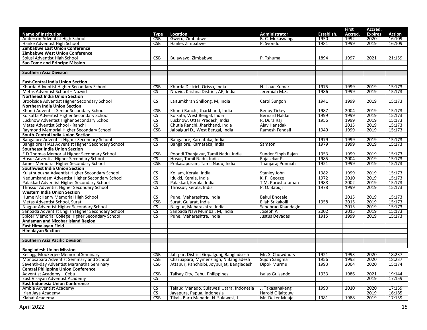|                                                   |                               |                                           |                        |            | <b>First</b> | Accred.        |                  |
|---------------------------------------------------|-------------------------------|-------------------------------------------|------------------------|------------|--------------|----------------|------------------|
| <b>Name of Institution</b>                        | Type                          | Location                                  | <b>Administrator</b>   | Establish. | Accred.      | <b>Expires</b> | <b>Action</b>    |
| Anderson Adventist High School                    | <b>CSB</b>                    | Gweru, Zimbabwe                           | B. C. Mukasvanga       | 1950       | 1992         | 2020           | 16:109           |
| Hanke Adventist High School                       | CSB                           | Hanke, Zimbabwe                           | P. Svondo              | 1981       | 1999         | 2019           | 16:109           |
| <b>Zimbabwe East Union Conference</b>             |                               |                                           |                        |            |              |                |                  |
| Zimbabwe West Union Conference                    |                               |                                           |                        |            |              |                |                  |
| Solusi Adventist High School                      | CSB                           | Bulawayo, Zimbabwe                        | P. Tshuma              | 1894       | 1997         | 2021           | 21:159           |
| <b>Sao Tome and Principe Mission</b>              |                               |                                           |                        |            |              |                |                  |
|                                                   |                               |                                           |                        |            |              |                |                  |
| <b>Southern Asia Division</b>                     |                               |                                           |                        |            |              |                |                  |
|                                                   |                               |                                           |                        |            |              |                |                  |
| <b>East-Central India Union Section</b>           |                               |                                           |                        |            |              |                |                  |
| Khurda Adventist Higher Secondary School          | <b>CSB</b>                    | Khurda District, Orissa, India            | N. Isaac Kumar         | 1975       | 1999         | 2019           | 15:173           |
| Metas Adventist School - Nuzvid                   | $\overline{\text{cs}}$        | Nuzvid, Krishna District, AP, India       | Jeremiah M.S.          | 1986       | 1999         | 2019           | 15:173           |
| <b>Northeast India Union Section</b>              |                               |                                           |                        |            |              |                |                  |
| Brookside Adventist Higher Secondary School       | $\overline{\text{cs}}$        | Laitumkhrah Shillong, M, India            | Carol Sungoh           | 1941       | 1999         | 2019           | 15:173           |
| <b>Northern India Union Section</b>               |                               |                                           |                        |            |              |                |                  |
| Khunti Adventist Senior Secondary School          | <b>CSB</b>                    | Khunti Ranchi, Jharkhand, India           | <b>Benoy Tirkey</b>    | 1987       | 2004         | 2019           | 15:173           |
| Kolkatta Adventist Higher Secondary School        | $\overline{\mathsf{CS}}$      | Kolkata, West Bengal, India               | <b>Bernard Haldar</b>  | 1999       | 1999         | 2019           | 15:173           |
| Lucknow Adventist Higher Secondary School         | $\overline{\text{CS}}$        | Lucknow, Uttar Pradesh, India             | R. Dura Raj            | 1956       | 1999         | 2019           | 15:173           |
| Metas Adventist School - Ranchi                   | $\overline{\text{cs}}$        | Chutia Ranchi, Jharkhand, India           | Ajay Hansdak           |            | 2015         | 2019           | 15:173           |
| Raymond Memorial Higher Secondary School          | <b>CSB</b>                    | Jalpaiguri D., West Bengal, India         | Ramesh Fendall         | 1949       | 1999         | 2019           | 15:173           |
| South-Central India Union Section                 |                               |                                           |                        |            |              |                |                  |
| Bangalore Adventist Higher Secondary School       | CS                            | Bangalore, Karnataka, India               |                        | 1979       | 1999         | 2019           | 15:173           |
| Bangalore (HAL) Adventist Higher Secondary School | $\overline{\text{CS}}$        | Bangalore, Karnataka, India               | Samson                 | 1979       | 1999         | 2019           | 15:173           |
| <b>Southeast India Union Section</b>              |                               |                                           |                        |            |              |                |                  |
| E.D Thomas Memorial Higher Secondary School       | <b>CSB</b>                    | Poondi Thanjavur, Tamil Nadu, India       | Sunder Singh Rajan     | 1953       | 1999         | 2019           | 15:173           |
| Hosur Adventist Higher Secondary School           | CS                            | Hosur, Tamil Nadu, India                  | Rajasekar P.           | 1985       | 2004         | 2019           | 15:173           |
| James Memorial Higher Secondary School            | <b>CSB</b>                    | Prakasapuram, Tamil Nadu, India           | Thanjaraj Ponniah      | 1921       | 1999         | 2019           | 15:173           |
| <b>Southwest India Union Section</b>              |                               |                                           |                        |            |              |                |                  |
| Kulathupuzha Adventist Higher Secondary School    | $\overline{\text{cs}}$        | Kollam, Kerala, India                     | Stanley John           | 1982       | 1999         | 2019           | 15:173           |
| Nedumkandam Adventist Higher Secondary School     | $\overline{\text{cs}}$        | Idukki, Kerala, India                     | K. P. George           | 1972       | 2010         | 2019           | 15:173           |
| Palakkad Adventist Higher Secondary School        | $\overline{\text{CS}}$        | Palakkad, Kerala, India                   | T M. Purushotaman      | 1988       | 2002         | 2019           | 15:173           |
| Thrissur Adventist Higher Secondary School        | <b>CS</b>                     | Thrissur, Kerala, India                   | P.O. Babuji            | 1978       | 1999         | 2019           | 15:173           |
| <b>Western India Union Section</b>                |                               |                                           |                        |            |              |                |                  |
| Hume McHenry Memorial High School                 | $\overline{\text{cs}}$        | Pune, Maharashtra, India                  | <b>Bakul Bhosale</b>   |            | 2015         | 2019           | 15:173           |
| Metas Adventist School, Surat                     | CSB                           | Surat, Gujarat, India                     | Eliah Srikakolli       | 1958       | 2015         | 2019           | 15:173           |
| Nagpur Adventist Higher Secondary School          | <b>CS</b>                     | Nagpur, Maharashtra, India                | Sahebrao Khandagle     |            | 2015         | 2019           | 15:173           |
| Sanpada Adventist English Higher Secondary School | $\overline{\text{CS}}$        | Sanpada Navi Mumbai, M, India             | Joseph P.              | 2002       | 2015         | 2019           | 15:173           |
| Spicer Memorial College Higher Secondary School   | CS                            | Pune, Maharashtra, India                  | Justus Devadas         | 1915       | 1999         | 2019           | 15:173           |
| Andaman and Nicobar Island Region                 |                               |                                           |                        |            |              |                |                  |
| East Himalayan Field                              |                               |                                           |                        |            |              |                |                  |
| <b>Himalayan Section</b>                          |                               |                                           |                        |            |              |                |                  |
|                                                   |                               |                                           |                        |            |              |                |                  |
| <b>Southern Asia Pacific Division</b>             |                               |                                           |                        |            |              |                |                  |
| <b>Bangladesh Union Mission</b>                   |                               |                                           |                        |            |              |                |                  |
| Kellogg-Mookerjee Memorial Seminary               | <b>CSB</b>                    | Jalirpar, District Gopalgonj, Bangladsesh | Mr. S. Chowdhury       | 1921       | 1993         | 2020           | 18:237           |
| Monosapara Adventist Seminary and School          | <b>CSB</b>                    | Charuapara, Mymensingh, N Bangladesh      | Sujon Sangma           | 1956       | 1993         | 2020           | 18:237           |
| Seventh-day Adventist Maranatha Seminary          | <b>CSB</b>                    | Attapur, Panchbibi, Joypurjat, Bangladesh | Dipok Murmu            | 1993       | 2004         | 2020           | 15:174           |
| <b>Central Philippine Union Conference</b>        |                               |                                           |                        |            |              |                |                  |
| Adventist Academy - Cebu                          | <b>CSB</b>                    | Talisay City, Cebu, Philippines           | <b>Isaias Guisando</b> | 1933       | 1986         | 2021           | 19:144           |
| East Visayan Adventist Academy                    | $\overline{\text{cs}}$        |                                           |                        |            |              | 2019           | 17:159           |
| <b>East Indonesia Union Conference</b>            |                               |                                           |                        |            |              |                |                  |
| Ambia Adventist Academy                           |                               |                                           |                        | 1990       | 2010         | 2020           |                  |
|                                                   | CS.<br>$\overline{\text{CS}}$ | Talaud Manado, Sulawesi Utara, Indonesia  | J. Takasanakeng        |            |              | 2019           | 17:159<br>16:185 |
| Irian Jaya Academy                                |                               | Jayapura, Papua, Indonesia                | Harold Oijaitouw       |            |              | 2019           |                  |
| Klabat Academy                                    | CSB                           | Tikala Baru Manado, N. Sulawesi, I        | Mr. Deker Muaja        | 1981       | 1988         |                | 17:159           |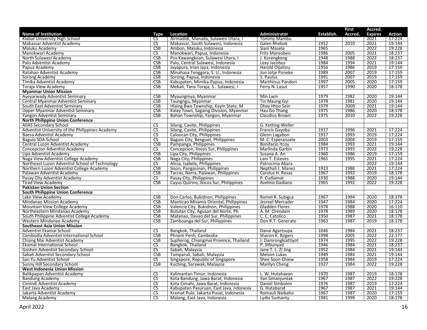|                                                 |                        |                                         |                                      |            | <b>First</b> | Accred.        |        |
|-------------------------------------------------|------------------------|-----------------------------------------|--------------------------------------|------------|--------------|----------------|--------|
| <b>Name of Institution</b>                      | Type                   | Location                                | <b>Administrator</b>                 | Establish. | Accred.      | <b>Expires</b> | Action |
| Klabat University High School                   | CS                     | Airmadidi, Manada, Sulawesi Utara, I    | Tommy Mambu                          |            |              | 2021           | 17:224 |
| Makassar Adventist Academy                      | CS                     | Makassar, South Sulawesi, Indonesia     | Galen Rhebok                         | 1952       | 2010         | 2021           | 19:144 |
| Maluku Academy                                  | <b>CSB</b>             | Ambon, Maluku, Indonesia                | Siani Masela                         | 1965       |              | 2022           | 19:228 |
| Manokwari Academy                               | <b>CS</b>              | Manokwari, Papua, Indonesia             | Frits Mansoben                       | 1986       | 2005         | 2021           | 18:237 |
| North Sulawesi Academy                          | CSB                    | Pos Kawangkoan, Sulawesi Utara, I       | J. Korengkeng                        | 1948       | 1988         | 2022           | 18:237 |
| Palu Adventist Academy                          | CSB                    | Palu, Central Sulawesi, Indonesia       | Lexy Jacobus                         | 1984       | 1994         | 2021           | 19:144 |
| Papua Academy                                   | CSB                    | Jayapura, Irian Jaya, Indonesia         | Harold Oijaitou                      | 1956       | 1986         | 2019           | 17:159 |
| Ratahan Adventist Academy                       | <b>CSB</b>             | Minahasa Tenggara, S. U., Indonesia     | Jon Jotje Poneke                     | 1989       | 2007         | 2019           | 17:159 |
| Sorong Academy                                  | <b>CSB</b>             | Sorong, Papua, Indonesia                | S. Paulus                            | 1991       | 2007         | 2019           | 17:159 |
| Timika Adventist Academy                        | <b>CSB</b>             | Kabupaten, Mimika-Papua, Indonesia      | Marthinus Pandori                    | 1997       | 2005         | 2020           | 17:159 |
| Toraja View Academy                             | CSB                    | Mebali, Tana Toraja, S., Sulawesi, I    | Ferry N. Lasut                       | 1957       | 1990         | 2020           | 18:178 |
| <b>Myanmar Union Mission</b>                    |                        |                                         |                                      |            |              |                |        |
| Ayeyarwady Adventist Seminary                   | <b>CSB</b>             | Myaungmya, Myanmar                      | Min Lwin                             | 1979       | 1982         | 2020           | 19:144 |
| Central Myanmar Adventist Seminary              | <b>CSB</b>             | Taungngu, Myanmar                       | <b>Tin Maung Gyi</b>                 | 1978       | 1981         | 2020           | 19:144 |
| South East Adventist Seminary                   | CSB                    | Hlaing Bwe Township, Kayin State, M     | Dhay Htoo Sein                       | 1979       | 2009         | 2021           | 19:144 |
| Upper Myanmar Adventist Seminary                | <b>CSB</b>             | Kalay Town, Sagaing Division, Myanmar   | Hau Go Thang                         | 1975       | 1986         | 2020           | 18:178 |
| Yangon Adventist Seminary                       | <b>CSB</b>             | Bahan Township, Yangon, Myanmar         | Claudius Brown                       | 1975       | 2010         | 2022           | 19:228 |
| <b>North Philippine Union Conference</b>        |                        |                                         |                                      |            |              |                |        |
| <b>AIIAS Secondary School</b>                   | $\overline{\text{cs}}$ | Silang, Cavite, Philippines             | G. Ketting-Weller                    |            |              |                |        |
| Adventist University of the Philippines Academy | <b>CS</b>              | Silang, Cavite, Philippines             | Francis Gayoba                       | 1917       | 1996         | 2021           | 17:224 |
| Baesa Adventist Academy                         | $\overline{\text{CS}}$ | Caloocan City, Philippines              | Glenn Lagabon                        | 1917       | 1993         | 2019           | 17:224 |
| Baguio SDA School                               | CS                     | Baguio City, Benguet, Philippines       | M. C. Esperanzate                    | 2003       | 2004         | 2019           | 17:159 |
| Central Luzon Adventist Academy                 | <b>CSB</b>             | Pampanga, Philippines                   | Bonifacio Itcoy                      | 1984       | 1993         | 2021           | 19:144 |
| <b>Concepcion Adventist Academy</b>             | CS                     | Concepcion, Ilocos Sur, Philippines     | Marlinda Garbin                      | 1973       | 1993         | 2022           | 19:228 |
| Lipa Adventist Academy                          | CSB                    | Lipa City, Philippines                  | Susana A. An                         | 1960       | 1986         | 2019           | 17:159 |
| Naga View Adventist College Academy             | CSB                    | Naga City, Philippines                  | Lani T. Esteves                      | 1965       | 1995         | 2021           | 17:224 |
| Northeast Luzon Adventist School of Technology  | $\overline{\text{CS}}$ | Alicia, Isabela, Philippines            | Patrocinia Abara                     |            |              | 2022           | 19:144 |
| Northern Luzon Adventist College Academy        | CSB                    | Sison, Pangasinan, Philippines          | Nepthali J. Manez                    | 1923       | 1986         | 2021           | 17:224 |
| Palawan Adventist Academy                       | <b>CSB</b>             | Tacras, Narra, Palawan, Philippines     | Carolus H. Rosas                     | 1967       | 1992         | 2019           | 18:178 |
| Pasay City Adventist Academy                    | $\overline{\text{CS}}$ | Pasay City, Philippines                 | P. Cudiamat                          | 1930       | 1988         | 2020           | 19:144 |
| <b>Tirad View Academy</b>                       | CSB                    | Cayus Quirino, Ilocos Sur, Philippines  | Avelino Gadiano                      | 1965       | 1992         | 2022           | 19:228 |
| <b>Pakistan Union Section</b>                   |                        |                                         |                                      |            |              |                |        |
|                                                 |                        |                                         |                                      |            |              |                |        |
| <b>South Philippine Union Conference</b>        | CSB                    | Don Carlos, Bukidnon, Philippines       |                                      | 1967       | 1994         | 2020           | 18:178 |
| Lake View Academy                               | CSB                    | Manticao Misamis Oriental, Philippines  | Romel R. Subigca<br>Jesreel Mercader | 1947       | 1984         | 2020           | 17:224 |
| Mindanao Mission Academy                        | CSB                    |                                         | <b>Gladden Flores</b>                | 1978       | 1988         | 2020           | 16:110 |
| Mountain View College Academy                   |                        | Valencia City, Bukidnon, Philippines    |                                      |            |              |                |        |
| Northeastern Mindanao Academy                   | <b>CSB</b>             | Bututan City, Agusan del Norte, Ph      | A. M. Orendain                       | 1978       | 1989         | 2020           | 18:178 |
| South Philippine Adventist College Academy      | CSB                    | Matanao, Davao del Sur, Philippines     | C. C. Catolico                       | 1950       | 1987         | 2021           | 18:178 |
| Western Mindanao Academy                        | CSB                    | Zamboanga del Sur, Philippines          | Don R.T. Generato                    | 1963       | 1987         | 2019           | 18:178 |
| <b>Southeast Asia Union Mission</b>             |                        |                                         |                                      |            |              |                |        |
| Adventist Ekamai School                         | $\overline{\text{cs}}$ | Bangkok, Thailand                       | Danai Agartsupa                      | 1046       | 1984         | 2021           | 18:237 |
| Cambodia Adventist International School         | CSB                    | Phnom Penh, Cambodia                    | Sharon K. Rogers                     | 1998       | 2005         | 2022           | 22:177 |
| Chiang Mai Adventist Academy                    | <b>CSB</b>             | Supherng, Chiangmai Province, Thailand  | J. Damrongkiattiyot                  | 1974       | 1995         | 2022           | 19:228 |
| Ekamai International School                     | $\overline{\text{CS}}$ | Bangkok, Thailand                       | P. Jitbunyad                         | 1946       | 1984         | 2021           | 18:237 |
| Goshen Adventist Secondary School               | $\overline{\text{cs}}$ | Sabah, Malaysia                         | Jane T. L. Zi Jing                   | 1952       | 1984         | 2021           | 19:144 |
| Sabah Adventist Secondary School                | <b>CSB</b>             | Tamparuli, Sabah, Malaysia              | Melson Lukas                         | 1949       | 1984         | 2021           | 19:144 |
| San Yu Adventist School                         | <b>CS</b>              | Singapore, Republic of Singapore        | Shee Soon Chiew                      | 1958       | 1984         | 2019           | 17:224 |
| Sunny Hill Secondary School                     | <b>CSB</b>             | Kuching, Sarawak, Malaysia              | Marilyn Cheng                        | 1927       | 1984         | 2022           | 19:228 |
| <b>West Indonesia Union Mission</b>             |                        |                                         |                                      |            |              |                |        |
| Balikpapan Adventist Academy                    | <b>CS</b>              | Kalimantan Timur, Indonesia             | L. W. Hutahaean                      | 1970       | 1987         | 2019           | 18:178 |
| <b>Bandung Academy</b>                          | <b>CS</b>              | Kota Bandung, Jawa Barat, Indonesia     | Ilan Simanjuntak                     | 1967       | 1987         | 2022           | 19:228 |
| Cimindi Adventist Academy                       | $\overline{\text{CS}}$ | Kota Cimahi, Jawa Barat, Indonesia      | Daniel Simbolon                      | 1976       | 1987         | 2019           | 17:224 |
| East Java Academy                               | <b>CS</b>              | Kabupaten Pasuruan, East Java, ndonesia | G. Hutabarat                         | 1967       | 1987         | 2021           | 19:144 |
| Jakarta Adventist Academy                       | $\overline{\text{CS}}$ | Kramat Pulo, Jakarta Pusat, Indonesia   | Romauli Naibaho                      | 1967       | 1987         | 2020           | 17:159 |
| Malang Academy                                  | <b>CS</b>              | Malang, East Java, Indonesia            | Lydia Sushanty                       | 1981       | 1999         | 2020           | 18:178 |